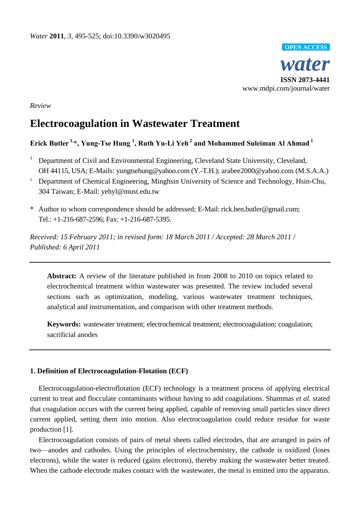

*Review*

# **Electrocoagulation in Wastewater Treatment**

# **Erick Butler 1, \*, Yung-Tse Hung <sup>1</sup> , Ruth Yu-Li Yeh <sup>2</sup> and Mohammed Suleiman Al Ahmad <sup>1</sup>**

- <sup>1</sup> Department of Civil and Environmental Engineering, Cleveland State University, Cleveland, OH 44115, USA; E-Mails: [yungtsehung@yahoo.com](mailto:yungtsehung@yahoo.com) (Y.-T.H.); [arabee2000@yahoo.com](mailto:arabee2000@yahoo.com) (M.S.A.A.)
- <sup>2</sup> Department of Chemical Engineering, Minghsin University of Science and Technology, Hsin-Chu, 304 Taiwan; E-Mail: [yehyl@must.edu.tw](mailto:yehyl@must.edu.tw)
- \* Author to whom correspondence should be addressed; E-Mail: rick.ben.butler@gmail.com; Tel.: +1-216-687-2596; Fax: +1-216-687-5395.

*Received: 15 February 2011; in revised form: 18 March 2011 / Accepted: 28 March 2011 / Published: 6 April 2011*

**Abstract:** A review of the literature published in from 2008 to 2010 on topics related to electrochemical treatment within wastewater was presented. The review included several sections such as optimization, modeling, various wastewater treatment techniques, analytical and instrumentation, and comparison with other treatment methods.

**Keywords:** wastewater treatment; electrochemical treatment; electrocoagulation; coagulation; sacrificial anodes

# **1. Definition of Electrocoagulation-Flotation (ECF)**

Electrocoagulation-electroflotation (ECF) technology is a treatment process of applying electrical current to treat and flocculate contaminants without having to add coagulations. Shammas *et al.* stated that coagulation occurs with the current being applied, capable of removing small particles since direct current applied, setting them into motion. Also electrocoagulation could reduce residue for waste production [1].

Electrocoagulation consists of pairs of metal sheets called electrodes, that are arranged in pairs of two—anodes and cathodes. Using the principles of electrochemistry, the cathode is oxidized (loses electrons), while the water is reduced (gains electrons), thereby making the wastewater better treated. When the cathode electrode makes contact with the wastewater, the metal is emitted into the apparatus.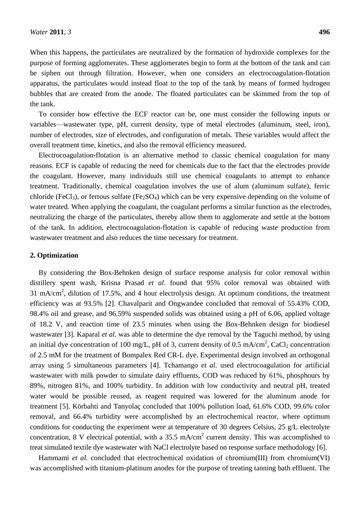When this happens, the particulates are neutralized by the formation of hydroxide complexes for the purpose of forming agglomerates. These agglomerates begin to form at the bottom of the tank and can be siphen out through filtration. However, when one considers an electrocoagulation-flotation apparatus, the particulates would instead float to the top of the tank by means of formed hydrogen bubbles that are created from the anode. The floated particulates can be skimmed from the top of the tank.

To consider how effective the ECF reactor can be, one must consider the following inputs or variables—wastewater type, pH, current density, type of metal electrodes (aluminum, steel, iron), number of electrodes, size of electrodes, and configuration of metals. These variables would affect the overall treatment time, kinetics, and also the removal efficiency measured.

Electrocoagulation-flotation is an alternative method to classic chemical coagulation for many reasons. ECF is capable of reducing the need for chemicals due to the fact that the electrodes provide the coagulant. However, many individuals still use chemical coagulants to attempt to enhance treatment. Traditionally, chemical coagulation involves the use of alum (aluminum sulfate), ferric chloride (FeCl<sub>3</sub>), or ferrous sulfate (Fe<sub>2</sub>SO<sub>4</sub>) which can be very expensive depending on the volume of water treated. When applying the coagulant, the coagulant performs a similar function as the electrodes, neutralizing the charge of the particulates, thereby allow them to agglomerate and settle at the bottom of the tank. In addition, electrocoagulation-flotation is capable of reducing waste production from wastewater treatment and also reduces the time necessary for treatment.

#### **2. Optimization**

By considering the Box-Behnken design of surface response analysis for color removal within distillery spent wash, Krisna Prasad *et al.* found that 95% color removal was obtained with 31 mA/cm<sup>2</sup>, dilution of 17.5%, and 4 hour electrolysis design. At optimum conditions, the treatment efficiency was at 93.5% [2]. Chavalparit and Ongwandee concluded that removal of 55.43% COD, 98.4% oil and grease, and 96.59% suspended solids was obtained using a pH of 6.06, applied voltage of 18.2 V, and reaction time of 23.5 minutes when using the Box-Behnken design for biodiesel wastewater [3]. Kaparal *et al.* was able to determine the dye removal by the Taguchi method, by using an initial dye concentration of 100 mg/L, pH of 3, current density of 0.5 mA/cm<sup>2</sup>, CaCl<sub>2</sub> concentration of 2.5 mM for the treatment of Bompalex Red CR-L dye. Experimental design involved an orthogonal array using 5 simultaneous parameters [4]. Tchamango *et al.* used electrocoagulation for artificial wastewater with milk powder to simulate dairy effluents, COD was reduced by 61%, phosphours by 89%, nitrogen 81%, and 100% turbidity. In addition with low conductivity and neutral pH, treated water would be possible reused, as reagent required was lowered for the aluminum anode for treatment [5]. Körbahti and Tanyola c concluded that 100% pollution load, 61.6% COD, 99.6% color removal, and 66.4% turbidity were accomplished by an electrochemical reactor, where optimum conditions for conducting the experiment were at temperature of 30 degrees Celsius, 25  $g/L$  electrolyte concentration, 8 V electrical potential, with a 35.5 mA/cm<sup>2</sup> current density. This was accomplished to treat simulated textile dye wastewater with NaCl electrolyte based on response surface methodology [6].

Hammami *et al.* concluded that electrochemical oxidation of chromium(III) from chromium(VI) was accomplished with titanium-platinum anodes for the purpose of treating tanning bath effluent. The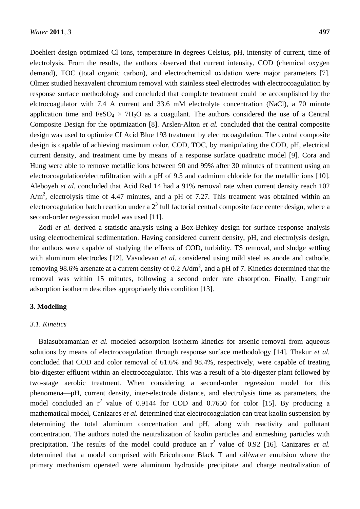Doehlert design optimized Cl ions, temperature in degrees Celsius, pH, intensity of current, time of electrolysis. From the results, the authors observed that current intensity, COD (chemical oxygen demand), TOC (total organic carbon), and electrochemical oxidation were major parameters [7]. Olmez studied hexavalent chromium removal with stainless steel electrodes with electrocoagulation by response surface methodology and concluded that complete treatment could be accomplished by the elctrocoagulator with 7.4 A current and 33.6 mM electrolyte concentration (NaCl), a 70 minute application time and  $FeSO_4 \times 7H_2O$  as a coagulant. The authors considered the use of a Central Composite Design for the optimization [8]. Arslen-Alton *et al.* concluded that the central composite design was used to optimize CI Acid Blue 193 treatment by electrocoagulation. The central composite design is capable of achieving maximum color, COD, TOC, by manipulating the COD, pH, electrical current density, and treatment time by means of a response surface quadratic model [9]. Cora and Hung were able to remove metallic ions between 90 and 99% after 30 minutes of treatment using an electrocoagulation/electrofiltration with a pH of 9.5 and cadmium chloride for the metallic ions [10]. Aleboyeh *et al.* concluded that Acid Red 14 had a 91% removal rate when current density reach 102  $A/m<sup>2</sup>$ , electrolysis time of 4.47 minutes, and a pH of 7.27. This treatment was obtained within an electrocoagulation batch reaction under a  $2<sup>3</sup>$  full factorial central composite face center design, where a second-order regression model was used [11].

Zodi *et al.* derived a statistic analysis using a Box-Behkey design for surface response analysis using electrochemical sedimentation. Having considered current density, pH, and electrolysis design, the authors were capable of studying the effects of COD, turbidity, TS removal, and sludge settling with aluminum electrodes [12]. Vasudevan *et al.* considered using mild steel as anode and cathode, removing 98.6% arsenate at a current density of 0.2  $A/dm^2$ , and a pH of 7. Kinetics determined that the removal was within 15 minutes, following a second order rate absorption. Finally, Langmuir adsorption isotherm describes appropriately this condition [13].

#### **3. Modeling**

# *3.1. Kinetics*

Balasubramanian *et al.* modeled adsorption isotherm kinetics for arsenic removal from aqueous solutions by means of electrocoagulation through response surface methodology [14]. Thakur *et al.* concluded that COD and color removal of 61.6% and 98.4%, respectively, were capable of treating bio-digester effluent within an electrocoagulator. This was a result of a bio-digester plant followed by two-stage aerobic treatment. When considering a second-order regression model for this phenomena—pH, current density, inter-electrode distance, and electrolysis time as parameters, the model concluded an  $r^2$  value of 0.9144 for COD and 0.7650 for color [15]. By producing a mathematical model, Canizares *et al.* determined that electrocoagulation can treat kaolin suspension by determining the total aluminum concentration and pH, along with reactivity and pollutant concentration. The authors noted the neutralization of kaolin particles and enmeshing particles with precipitation. The results of the model could produce an  $r^2$  value of 0.92 [16]. Canizares *et al.* determined that a model comprised with Ericohrome Black T and oil/water emulsion where the primary mechanism operated were aluminum hydroxide precipitate and charge neutralization of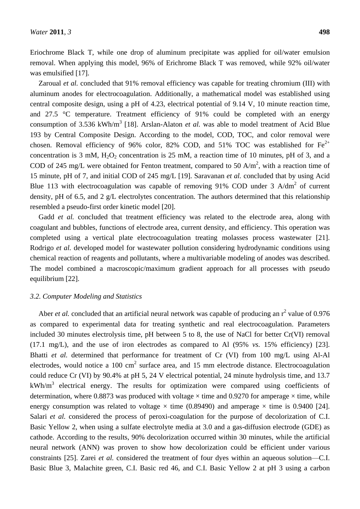Eriochrome Black T, while one drop of aluminum precipitate was applied for oil/water emulsion removal. When applying this model, 96% of Erichrome Black T was removed, while 92% oil/water was emulsified [17].

Zaroual *et al.* concluded that 91% removal efficiency was capable for treating chromium (III) with aluminum anodes for electrocoagulation. Additionally, a mathematical model was established using central composite design, using a pH of 4.23, electrical potential of 9.14 V, 10 minute reaction time, and  $27.5$  °C temperature. Treatment efficiency of  $91\%$  could be completed with an energy consumption of 3.536 kWh/m<sup>3</sup> [18]. Arslan-Alaton *et al.* was able to model treatment of Acid Blue 193 by Central Composite Design. According to the model, COD, TOC, and color removal were chosen. Removal efficiency of 96% color, 82% COD, and 51% TOC was established for  $Fe^{2+}$ concentration is 3 mM,  $H_2O_2$  concentration is 25 mM, a reaction time of 10 minutes, pH of 3, and a COD of 245 mg/L were obtained for Fenton treatment, compared to 50 A/m<sup>2</sup>, with a reaction time of 15 minute, pH of 7, and initial COD of 245 mg/L [19]. Saravanan *et al.* concluded that by using Acid Blue 113 with electrocoagulation was capable of removing 91% COD under 3  $A/dm<sup>2</sup>$  of current density, pH of 6.5, and 2 g/L electrolytes concentration. The authors determined that this relationship resembled a pseudo-first order kinetic model [20].

Gadd *et al.* concluded that treatment efficiency was related to the electrode area, along with coagulant and bubbles, functions of electrode area, current density, and efficiency. This operation was completed using a vertical plate electrocoagulation treating molasses process wastewater [21]. Rodrigo *et al.* developed model for wastewater pollution considering hydrodynamic conditions using chemical reaction of reagents and pollutants, where a multivariable modeling of anodes was described. The model combined a macroscopic/maximum gradient approach for all processes with pseudo equilibrium [22].

# *3.2. Computer Modeling and Statistics*

Aber *et al.* concluded that an artificial neural network was capable of producing an r<sup>2</sup> value of 0.976 as compared to experimental data for treating synthetic and real electrocoagulation. Parameters included 30 minutes electrolysis time, pH between 5 to 8, the use of NaCl for better Cr(VI) removal (17.1 mg/L), and the use of iron electrodes as compared to Al (95% *vs.* 15% efficiency) [23]. Bhatti *et al.* determined that performance for treatment of Cr (VI) from 100 mg/L using Al-Al electrodes, would notice a 100 cm<sup>2</sup> surface area, and 15 mm electrode distance. Electrocoagulation could reduce Cr (VI) by 90.4% at pH 5, 24 V electrical potential, 24 minute hydrolysis time, and 13.7  $kWh/m<sup>3</sup>$  electrical energy. The results for optimization were compared using coefficients of determination, where 0.8873 was produced with voltage  $\times$ time and 0.9270 for amperage  $\times$ time, while energy consumption was related to voltage  $\times$  time (0.89490) and amperage  $\times$  time is 0.9400 [24]. Salari *et al.* considered the process of peroxi-coagulation for the purpose of decolorization of C.I. Basic Yellow 2, when using a sulfate electrolyte media at 3.0 and a gas-diffusion electrode (GDE) as cathode. According to the results, 90% decolorization occurred within 30 minutes, while the artificial neural network (ANN) was proven to show how decolorization could be efficient under various constraints [25]. Zarei *et al.* considered the treatment of four dyes within an aqueous solution—C.I. Basic Blue 3, Malachite green, C.I. Basic red 46, and C.I. Basic Yellow 2 at pH 3 using a carbon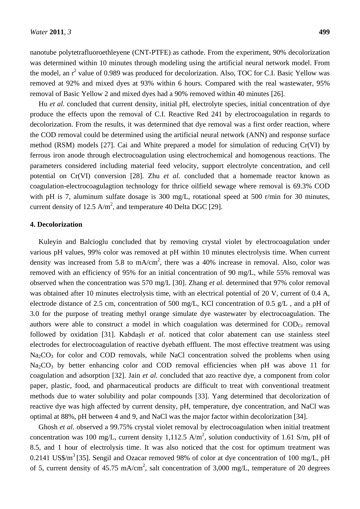nanotube polytetrafluoroethleyene (CNT-PTFE) as cathode. From the experiment, 90% decolorization was determined within 10 minutes through modeling using the artificial neural network model. From the model, an  $r^2$  value of 0.989 was produced for decolorization. Also, TOC for C.I. Basic Yellow was removed at 92% and mixed dyes at 93% within 6 hours. Compared with the real wastewater, 95% removal of Basic Yellow 2 and mixed dyes had a 90% removed within 40 minutes [26].

Hu *et al.* concluded that current density, initial pH, electrolyte species, initial concentration of dye produce the effects upon the removal of C.I. Reactive Red 241 by electrocoagulation in regards to decolorization. From the results, it was determined that dye removal was a first order reaction, where the COD removal could be determined using the artificial neural network (ANN) and response surface method (RSM) models [27]. Cai and White prepared a model for simulation of reducing Cr(VI) by ferrous iron anode through electrocoagulation using electrochemical and homogenous reactions. The parameters considered including material feed velocity, support electrolyte concentration, and cell potential on Cr(VI) conversion [28]. Zhu *et al.* concluded that a homemade reactor known as coagulation-electrocoagulagtion technology for thrice oilfield sewage where removal is 69.3% COD with pH is 7, aluminum sulfate dosage is 300 mg/L, rotational speed at 500 r/min for 30 minutes, current density of 12.5  $A/m^2$ , and temperature 40 Delta DGC [29].

# **4. Decolorization**

Kuleyin and Balcioglu concluded that by removing crystal violet by electrocoagulation under various pH values, 99% color was removed at pH within 10 minutes electrolysis time. When current density was increased from 5.8 to mA/cm<sup>2</sup>, there was a 40% increase in removal. Also, color was removed with an efficiency of 95% for an initial concentration of 90 mg/L, while 55% removal was observed when the concentration was 570 mg/L [30]. Zhang *et al.* determined that 97% color removal was obtained after 10 minutes electrolysis time, with an electrical potential of 20 V, current of 0.4 A, electrode distance of 2.5 cm, concentration of 500 mg/L, KCl concentration of 0.5 g/L , and a pH of 3.0 for the purpose of treating methyl orange simulate dye wastewater by electrocoagulation. The authors were able to construct a model in which coagulation was determined for  $\text{COD}_{Cr}$  removal followed by oxidation [31]. Kabdaşlı *et al.* noticed that color abatement can use stainless steel electrodes for electrocoagulation of reactive dyebath effluent. The most effective treatment was using  $Na<sub>2</sub>CO<sub>3</sub>$  for color and COD removals, while NaCl concentration solved the problems when using  $Na<sub>2</sub>CO<sub>3</sub>$  by better enhancing color and COD removal efficiencies when pH was above 11 for coagulation and adsorption [32]. Jain *et al.* concluded that azo reactive dye, a component from color paper, plastic, food, and pharmaceutical products are difficult to treat with conventional treatment methods due to water solubility and polar compounds [33]. Yang determined that decolorization of reactive dye was high affected by current density, pH, temperature, dye concentration, and NaCl was optimal at 88%, pH between 4 and 9, and NaCl was the major factor within decolorization [34].

Ghosh *et al.* observed a 99.75% crystal violet removal by electrocoagulation when initial treatment concentration was 100 mg/L, current density 1,112.5 A/m<sup>2</sup>, solution conductivity of 1.61 S/m, pH of 8.5, and 1 hour of electrolysis time. It was also noticed that the cost for optimum treatment was 0.2141 US\$/m<sup>3</sup> [35]. Sengil and Ozacar removed 98% of color at dye concentration of 100 mg/L, pH of 5, current density of 45.75 mA/cm<sup>2</sup>, salt concentration of 3,000 mg/L, temperature of 20 degrees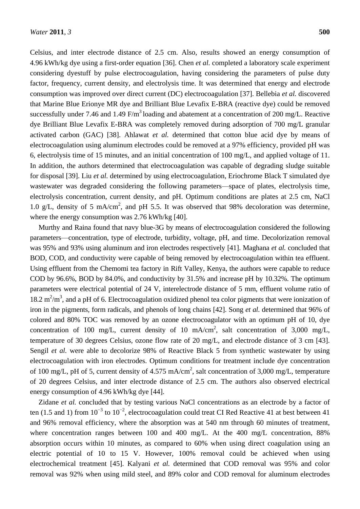Celsius, and inter electrode distance of 2.5 cm. Also, results showed an energy consumption of 4.96 kWh/kg dye using a first-order equation [36]. Chen *et al.* completed a laboratory scale experiment considering dyestuff by pulse electrocoagulation, having considering the parameters of pulse duty factor, frequency, current density, and electrolysis time. It was determined that energy and electrode consumption was improved over direct current (DC) electrocoagulation [37]. Bellebia *et al.* discovered that Marine Blue Erionye MR dye and Brilliant Blue Levafix E-BRA (reactive dye) could be removed successfully under 7.46 and 1.49 F/m<sup>3</sup> loading and abatement at a concentration of 200 mg/L. Reactive dye Brilliant Blue Levafix E-BRA was completely removed during adsorption of 700 mg/L granular activated carbon (GAC) [38]. Ahlawat *et al.* determined that cotton blue acid dye by means of electrocoagulation using aluminum electrodes could be removed at a 97% efficiency, provided pH was 6, electrolysis time of 15 minutes, and an initial concentration of 100 mg/L, and applied voltage of 11. In addition, the authors determined that electrocoagulation was capable of degrading sludge suitable for disposal [39]. Liu *et al.* determined by using electrocoagulation, Eriochrome Black T simulated dye wastewater was degraded considering the following parameters—space of plates, electrolysis time, electrolysis concentration, current density, and pH. Optimum conditions are plates at 2.5 cm, NaCl 1.0 g/L, density of 5 mA/cm<sup>2</sup>, and pH 5.5. It was observed that 98% decoloration was determine, where the energy consumption was 2.76 kWh/kg [40].

Murthy and Raina found that navy blue-3G by means of electrocoagulation considered the following parameters—concentration, type of electrode, turbidity, voltage, pH, and time. Decolorization removal was 95% and 93% using aluminum and iron electrodes respectively [41]. Maghana *et al.* concluded that BOD, COD, and conductivity were capable of being removed by electrocoagulation within tea effluent. Using effluent from the Chemomi tea factory in Rift Valley, Kenya, the authors were capable to reduce COD by 96.6%, BOD by 84.0%, and conductivity by 31.5% and increase pH by 10.32%. The optimum parameters were electrical potential of 24 V, interelectrode distance of 5 mm, effluent volume ratio of 18.2  $m^2/m^3$ , and a pH of 6. Electrocoagulation oxidized phenol tea color pigments that were ionization of iron in the pigments, form radicals, and phenols of long chains [42]. Song *et al.* determined that 96% of colored and 80% TOC was removed by an ozone electrocoagulator with an optimum pH of 10, dye concentration of 100 mg/L, current density of 10 mA/cm<sup>2</sup>, salt concentration of 3,000 mg/L, temperature of 30 degrees Celsius, ozone flow rate of 20 mg/L, and electrode distance of 3 cm [43]. Sengil *et al.* were able to decolorize 98% of Reactive Black 5 from synthetic wastewater by using electrocoagulation with iron electrodes. Optimum conditions for treatment include dye concentration of 100 mg/L, pH of 5, current density of 4.575 mA/cm<sup>2</sup>, salt concentration of 3,000 mg/L, temperature of 20 degrees Celsius, and inter electrode distance of 2.5 cm. The authors also observed electrical energy consumption of 4.96 kWh/kg dye [44].

Zidane *et al.* concluded that by testing various NaCl concentrations as an electrode by a factor of ten (1.5 and 1) from  $10^{-3}$  to  $10^{-2}$ , electrocoagulation could treat CI Red Reactive 41 at best between 41 and 96% removal efficiency, where the absorption was at 540 nm through 60 minutes of treatment, where concentration ranges between 100 and 400 mg/L. At the 400 mg/L concentration, 88% absorption occurs within 10 minutes, as compared to 60% when using direct coagulation using an electric potential of 10 to 15 V. However, 100% removal could be achieved when using electrochemical treatment [45]. Kalyani *et al.* determined that COD removal was 95% and color removal was 92% when using mild steel, and 89% color and COD removal for aluminum electrodes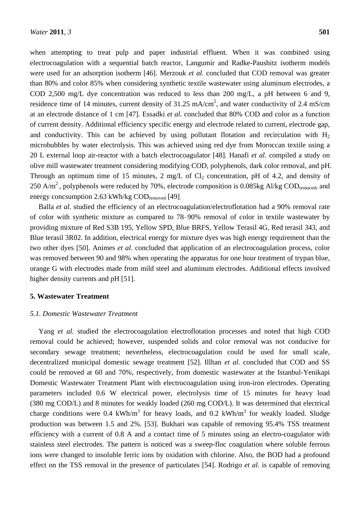when attempting to treat pulp and paper industrial effluent. When it was combined using electrocoagulation with a sequential batch reactor, Langumir and Radke-Paushitz isotherm models were used for an adsorption isotherm [46]. Merzouk *et al.* concluded that COD removal was greater than 80% and color 85% when considering synthetic textile wastewater using aluminum electrodes, a COD 2,500 mg/L dye concentration was reduced to less than 200 mg/L, a pH between 6 and 9, residence time of 14 minutes, current density of  $31.25 \text{ mA/cm}^2$ , and water conductivity of 2.4 mS/cm at an electrode distance of 1 cm [47]. Essadki *et al.* concluded that 80% COD and color as a function of current density. Additional efficiency specific energy and electrode related to current, electrode gap, and conductivity. This can be achieved by using pollutant flotation and recirculation with  $H_2$ microbubbles by water electrolysis. This was achieved using red dye from Moroccan textile using a 20 L external loop air-reactor with a batch electrocoagulator [48]. Hanafi *et al.* compiled a study on olive mill wastewater treatment considering modifying COD, polyphenols, dark color removal, and pH. Through an optimum time of 15 minutes, 2 mg/L of  $Cl_2$  concentration, pH of 4.2, and density of 250 A/m<sup>2</sup>, polyphenols were reduced by 70%, electrode composition is 0.085kg Al/kg COD<sub>remoced</sub>, and energy concsumption 2.63 kWh/kg CODremoved [49].

Balla *et al.* studied the efficiency of an electrocoagulation/electroflotation had a 90% removal rate of color with synthetic mixture as compared to 78–90% removal of color in textile wastewater by providing mixture of Red S3B 195, Yellow SPD, Blue BRFS, Yellow Terasil 4G, Red terasil 343, and Blue terasil 3R02. In addition, electrical energy for mixture dyes was high energy requirement than the two other dyes [50]. Animes *et al.* concluded that application of an electrocoagulation process, color was removed between 90 and 98% when operating the apparatus for one hour treatment of trypan blue, orange G with electrodes made from mild steel and aluminum electrodes. Additional effects involved higher density currents and pH [51].

#### **5. Wastewater Treatment**

# *5.1. Domestic Wastewater Treatment*

Yang *et al.* studied the electrocoagulation electroflotation processes and noted that high COD removal could be achieved; however, suspended solids and color removal was not conducive for secondary sewage treatment; nevertheless, electrocoagulation could be used for small scale, decentralized municipal domestic sewage treatment [52]. Illhan *et al.* concluded that COD and SS could be removed at 60 and 70%, respectively, from domestic wastewater at the Istanbul-Yenikapi Domestic Wastewater Treatment Plant with electrocoagulation using iron-iron electrodes. Operating parameters included 0.6 W electrical power, electrolysis time of 15 minutes for heavy load (380 mg COD/L) and 8 minutes for weakly loaded (260 mg COD/L). It was determined that electrical charge conditions were 0.4 kWh/m<sup>3</sup> for heavy loads, and 0.2 kWh/m<sup>3</sup> for weakly loaded. Sludge production was between 1.5 and 2%. [53]. Bukhari was capable of removing 95.4% TSS treatment efficiency with a current of 0.8 A and a contact time of 5 minutes using an electro-coagulator with stainless steel electrodes. The pattern is noticed was a sweep-floc coagulation where soluble ferrous ions were changed to insoluble ferric ions by oxidation with chlorine. Also, the BOD had a profound effect on the TSS removal in the presence of particulates [54]. Rodrigo *et al.* is capable of removing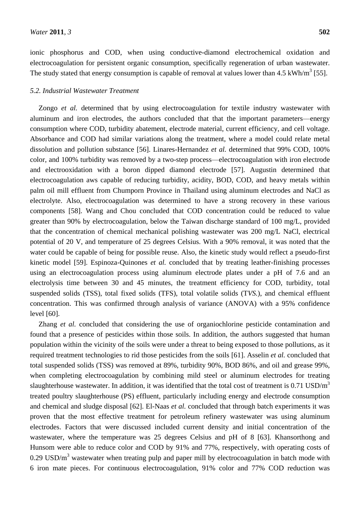ionic phosphorus and COD, when using conductive-diamond electrochemical oxidation and electrocoagulation for persistent organic consumption, specifically regeneration of urban wastewater. The study stated that energy consumption is capable of removal at values lower than  $4.5 \text{ kWh/m}^3$  [55].

# *5.2. Industrial Wastewater Treatment*

Zongo *et al.* determined that by using electrocoagulation for textile industry wastewater with aluminum and iron electrodes, the authors concluded that that the important parameters—energy consumption where COD, turbidity abatement, electrode material, current efficiency, and cell voltage. Absorbance and COD had similar variations along the treatment, where a model could relate metal dissolution and pollution substance [56]. Linares-Hernandez *et al.* determined that 99% COD, 100% color, and 100% turbidity was removed by a two-step process—electrocoagulation with iron electrode and electrooxidation with a boron dipped diamond electrode [57]. Augustin determined that electrocoagulation aws capable of reducing turbidity, acidity, BOD, COD, and heavy metals within palm oil mill effluent from Chumporn Province in Thailand using aluminum electrodes and NaCl as electrolyte. Also, electrocoagulation was determined to have a strong recovery in these various components [58]. Wang and Chou concluded that COD concentration could be reduced to value greater than 90% by electrocoagulation, below the Taiwan discharge standard of 100 mg/L, provided that the concentration of chemical mechanical polishing wastewater was 200 mg/L NaCl, electrical potential of 20 V, and temperature of 25 degrees Celsius. With a 90% removal, it was noted that the water could be capable of being for possible reuse. Also, the kinetic study would reflect a pseudo-first kinetic model [59]. Espinoza-Quinones *et al.* concluded that by treating leather-finishing processes using an electrocoagulation process using aluminum electrode plates under a pH of 7.6 and an electrolysis time between 30 and 45 minutes, the treatment efficiency for COD, turbidity, total suspended solids (TSS), total fixed solids (TFS), total volatile solids (T*VS.*), and chemical effluent concentration. This was confirmed through analysis of variance (ANOVA) with a 95% confidence level [60].

Zhang *et al.* concluded that considering the use of organiochlorine pesticide contamination and found that a presence of pesticides within those soils. In addition, the authors suggested that human population within the vicinity of the soils were under a threat to being exposed to those pollutions, as it required treatment technologies to rid those pesticides from the soils [61]. Asselin *et al.* concluded that total suspended solids (TSS) was removed at 89%, turbidity 90%, BOD 86%, and oil and grease 99%, when completing electrocoagulation by combining mild steel or aluminum electrodes for treating slaughterhouse wastewater. In addition, it was identified that the total cost of treatment is  $0.71 \text{ USD/m}^3$ treated poultry slaughterhouse (PS) effluent, particularly including energy and electrode consumption and chemical and sludge disposal [62]. El-Naas *et al.* concluded that through batch experiments it was proven that the most effective treatment for petroleum refinery wastewater was using aluminum electrodes. Factors that were discussed included current density and initial concentration of the wastewater, where the temperature was 25 degrees Celsius and pH of 8 [63]. Khansorthong and Hunsom were able to reduce color and COD by 91% and 77%, respectively, with operating costs of 0.29 USD/ $m<sup>3</sup>$  wastewater when treating pulp and paper mill by electrocoagulation in batch mode with 6 iron mate pieces. For continuous electrocoagulation, 91% color and 77% COD reduction was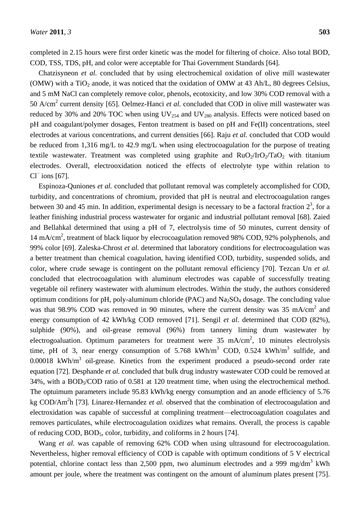completed in 2.15 hours were first order kinetic was the model for filtering of choice. Also total BOD, COD, TSS, TDS, pH, and color were acceptable for Thai Government Standards [64].

Chatzisyneon *et al.* concluded that by using electrochemical oxidation of olive mill wastewater (OMW) with a  $TiO<sub>2</sub>$  anode, it was noticed that the oxidation of OMW at 43 Ah/L, 80 degrees Celsius, and 5 mM NaCl can completely remove color, phenols, ecotoxicity, and low 30% COD removal with a 50 A/cm<sup>2</sup> current density [65]. Oelmez-Hanci *et al.* concluded that COD in olive mill wastewater was reduced by 30% and 20% TOC when using  $UV_{254}$  and  $UV_{280}$  analysis. Effects were noticed based on pH and coagulant/polymer dosages, Fenton treatment is based on pH and Fe(II) concentrations, steel electrodes at various concentrations, and current densities [66]. Raju *et al.* concluded that COD would be reduced from 1,316 mg/L to 42.9 mg/L when using electrocoagulation for the purpose of treating textile wastewater. Treatment was completed using graphite and  $RuO<sub>2</sub>/IrO<sub>2</sub>/TaO<sub>2</sub>$  with titanium electrodes. Overall, electrooxidation noticed the effects of electrolyte type within relation to  $Cl^{-}$  ions [67].

Espinoza-Quniones *et al.* concluded that pollutant removal was completely accomplished for COD, turbidity, and concentrations of chromium, provided that pH is neutral and electrocoagulation ranges between 30 and 45 min. In addition, experimental design is necessary to be a factoral fraction  $2^3$ , for a leather finishing industrial process wastewater for organic and industrial pollutant removal [68]. Zaied and Bellahkal determined that using a pH of 7, electrolysis time of 50 minutes, current density of 14 mA/cm<sup>2</sup>, treatment of black liquor by elecrocoagulation removed 98% COD, 92% polyphenols, and 99% color [69]. Zaleska-Chrost *et al.* determined that laboratory conditions for electrocoagulation was a better treatment than chemical coagulation, having identified COD, turbidity, suspended solids, and color, where crude sewage is contingent on the pollutant removal efficiency [70]. Tezcan Un *et al.* concluded that electrocoagulation with aluminum electrodes was capable of successfully treating vegetable oil refinery wastewater with aluminum electrodes. Within the study, the authors considered optimum conditions for pH, poly-aluminum chloride (PAC) and  $Na<sub>2</sub>SO<sub>4</sub>$  dosage. The concluding value was that 98.9% COD was removed in 90 minutes, where the current density was 35 mA/cm<sup>2</sup> and energy consumption of 42 kWh/kg COD removed [71]. Sengil *et al.* determined that COD (82%), sulphide (90%), and oil-grease removal (96%) from tannery liming drum wastewater by electrogoaluation. Optimum parameters for treatment were  $35 \text{ mA/cm}^2$ , 10 minutes electrolysis time, pH of 3, near energy consumption of  $5.768$  kWh/m<sup>3</sup> COD, 0.524 kWh/m<sup>3</sup> sulfide, and  $0.00018$  kWh/m<sup>3</sup> oil-grease. Kinetics from the experiment produced a pseudo-second order rate equation [72]. Desphande *et al.* concluded that bulk drug industry wastewater COD could be removed at 34%, with a BOD<sub>5</sub>/COD ratio of 0.581 at 120 treatment time, when using the electrochemical method. The optuimum parameters include 95.83 kWh/kg energy consumption and an anode efficiency of 5.76 kg COD/Am<sup>2</sup>h [73]. Linarez-Hernandez *et al.* observed that the combination of electrocoagulation and electroxidation was capable of successful at complining treatment—electrocoagulation coagulates and removes particulates, while electrocoagulation oxidizes what remains. Overall, the process is capable of reducing COD, BOD5, color, turbidity, and coliforms in 2 hours [74].

Wang *et al.* was capable of removing 62% COD when using ultrasound for electrocoagulation. Nevertheless, higher removal efficiency of COD is capable with optimum conditions of 5 V electrical potential, chlorine contact less than 2,500 ppm, two aluminum electrodes and a 999 mg/dm<sup>3</sup> kWh amount per joule, where the treatment was contingent on the amount of aluminum plates present [75].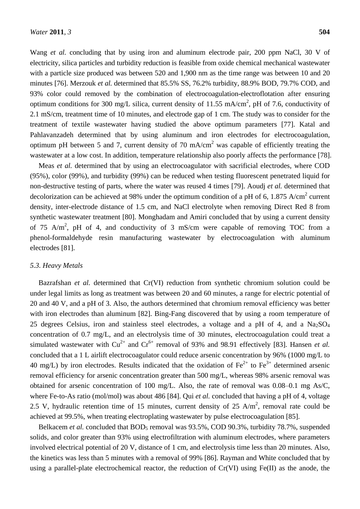Wang *et al.* concluding that by using iron and aluminum electrode pair, 200 ppm NaCl, 30 V of electricity, silica particles and turbidity reduction is feasible from oxide chemical mechanical wastewater with a particle size produced was between 520 and 1,900 nm as the time range was between 10 and 20 minutes [76]. Merzouk *et al.* determined that 85.5% SS, 76.2% turbidity, 88.9% BOD, 79.7% COD, and 93% color could removed by the combination of electrocoagulation-electroflotation after ensuring optimum conditions for 300 mg/L silica, current density of 11.55 mA/cm<sup>2</sup>, pH of 7.6, conductivity of 2.1 mS/cm, treatment time of 10 minutes, and electrode gap of 1 cm. The study was to consider for the treatment of textile wastewater having studied the above optimum parameters [77]. Katal and Pahlavanzadeh determined that by using aluminum and iron electrodes for electrocoagulation, optimum pH between 5 and 7, current density of 70 mA/cm<sup>2</sup> was capable of efficiently treating the wastewater at a low cost. In addition, temperature relationship also poorly affects the performance [78].

Meas *et al.* determined that by using an electrocoagulator with sacrificial electrodes, where COD (95%), color (99%), and turbidity (99%) can be reduced when testing fluorescent penetrated liquid for non-destructive testing of parts, where the water was reused 4 times [79]. Aoudj *et al.* determined that decolorization can be achieved at 98% under the optimum condition of a pH of 6, 1.875 A/cm<sup>2</sup> current density, inter-electrode distance of 1.5 cm, and NaCl electrolyte when removing Direct Red 8 from synthetic wastewater treatment [80]. Monghadam and Amiri concluded that by using a current density of 75 A/m<sup>2</sup>, pH of 4, and conductivity of 3 mS/cm were capable of removing TOC from a phenol-formaldehyde resin manufacturing wastewater by electrocoagulation with aluminum electrodes [81].

#### *5.3. Heavy Metals*

Bazrafshan *et al.* determined that Cr(VI) reduction from synthetic chromium solution could be under legal limits as long as treatment was between 20 and 60 minutes, a range for electric potential of 20 and 40 V, and a pH of 3. Also, the authors determined that chromium removal efficiency was better with iron electrodes than aluminum [82]. Bing-Fang discovered that by using a room temperature of 25 degrees Celsius, iron and stainless steel electrodes, a voltage and a pH of 4, and a  $Na<sub>2</sub>SO<sub>4</sub>$ concentration of 0.7 mg/L, and an electrolysis time of 30 minutes, electrocoagulation could treat a simulated wastewater with  $Cu^{2+}$  and  $Cr^{6+}$  removal of 93% and 98.91 effectively [83]. Hansen *et al.* concluded that a 1 L airlift electrocoagulator could reduce arsenic concentration by 96% (1000 mg/L to 40 mg/L) by iron electrodes. Results indicated that the oxidation of  $Fe^{2+}$  to  $Fe^{3+}$  determined arsenic removal efficiency for arsenic concentration greater than 500 mg/L, whereas 98% arsenic removal was obtained for arsenic concentration of 100 mg/L. Also, the rate of removal was 0.08–0.1 mg As/C, where Fe-to-As ratio (mol/mol) was about 486 [84]. Qui *et al.* concluded that having a pH of 4, voltage 2.5 V, hydraulic retention time of 15 minutes, current density of 25 A/m<sup>2</sup>, removal rate could be achieved at 99.5%, when treating electroplating wastewater by pulse electrocoagulation [85].

Belkacem *et al.* concluded that BOD<sub>5</sub> removal was 93.5%, COD 90.3%, turbidity 78.7%, suspended solids, and color greater than 93% using electrofiltration with aluminum electrodes, where parameters involved electrical potential of 20 V, distance of 1 cm, and electrolysis time less than 20 minutes. Also, the kinetics was less than 5 minutes with a removal of 99% [86]. Rayman and White concluded that by using a parallel-plate electrochemical reactor, the reduction of Cr(VI) using Fe(II) as the anode, the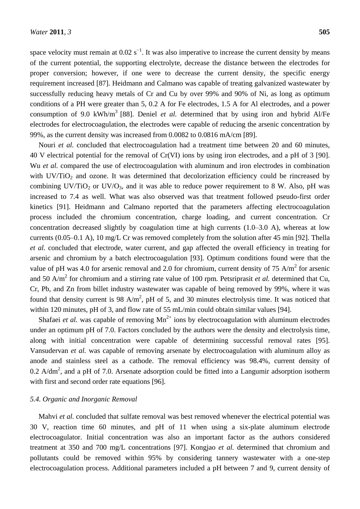space velocity must remain at  $0.02$  s<sup>-1</sup>. It was also imperative to increase the current density by means of the current potential, the supporting electrolyte, decrease the distance between the electrodes for proper conversion; however, if one were to decrease the current density, the specific energy requirement increased [87]. Heidmann and Calmano was capable of treating galvanized wastewater by successfully reducing heavy metals of Cr and Cu by over 99% and 90% of Ni, as long as optimum conditions of a PH were greater than 5, 0.2 A for Fe electrodes, 1.5 A for Al electrodes, and a power consumption of 9.0 kWh/m<sup>3</sup> [88]. Deniel *et al.* determined that by using iron and hybrid Al/Fe electrodes for electrocoagulation, the electrodes were capable of reducing the arsenic concentration by 99%, as the current density was increased from 0.0082 to 0.0816 mA/cm [89].

Nouri *et al.* concluded that electrocoagulation had a treatment time between 20 and 60 minutes, 40 V electrical potential for the removal of Cr(VI) ions by using iron electrodes, and a pH of 3 [90]. Wu *et al.* compared the use of electrocoagulation with aluminum and iron electrodes in combination with  $UV/TiO<sub>2</sub>$  and ozone. It was determined that decolorization efficiency could be rincreased by combining  $UV/TiO_2$  or  $UV/O_3$ , and it was able to reduce power requirement to 8 W. Also, pH was increased to 7.4 as well. What was also observed was that treatment followed pseudo-first order kinetics [91]. Heidmann and Calmano reported that the parameters affecting electrocoagulation process included the chromium concentration, charge loading, and current concentration. Cr concentration decreased slightly by coagulation time at high currents (1.0–3.0 A), whereas at low currents (0.05–0.1 A), 10 mg/L Cr was removed completely from the solution after 45 min [92]. Thella *et al.* concluded that electrode, water current, and gap affected the overall efficiency in treating for arsenic and chromium by a batch electrocoagulation [93]. Optimum conditions found were that the value of pH was 4.0 for arsenic removal and 2.0 for chromium, current density of 75 A/m<sup>2</sup> for arsenic and 50 A/m<sup>2</sup> for chromium and a stirring rate value of 100 rpm. Petsriprasit *et al.* determined that Cu, Cr, Pb, and Zn from billet industry wastewater was capable of being removed by 99%, where it was found that density current is 98 A/m<sup>2</sup>, pH of 5, and 30 minutes electrolysis time. It was noticed that within 120 minutes, pH of 3, and flow rate of 55 mL/min could obtain similar values [94].

Shafaei *et al.* was capable of removing  $Mn^{2+}$  ions by electrocoagulation with aluminum electrodes under an optimum pH of 7.0. Factors concluded by the authors were the density and electrolysis time, along with initial concentration were capable of determining successful removal rates [95]. Vansudervan *et al.* was capable of removing arsenate by electrocoagulation with aluminum alloy as anode and stainless steel as a cathode. The removal efficiency was 98.4%, current density of 0.2 A/dm<sup>2</sup>, and a pH of 7.0. Arsenate adsorption could be fitted into a Langumir adsorption isotherm with first and second order rate equations [96].

#### *5.4. Organic and Inorganic Removal*

Mahvi *et al.* concluded that sulfate removal was best removed whenever the electrical potential was 30 V, reaction time 60 minutes, and pH of 11 when using a six-plate aluminum electrode electrocoagulator. Initial concentration was also an important factor as the authors considered treatment at 350 and 700 mg/L concentrations [97]. Kongjao *et al.* determined that chromium and pollutants could be removed within 95% by considering tannery wastewater with a one-step electrocoagulation process. Additional parameters included a pH between 7 and 9, current density of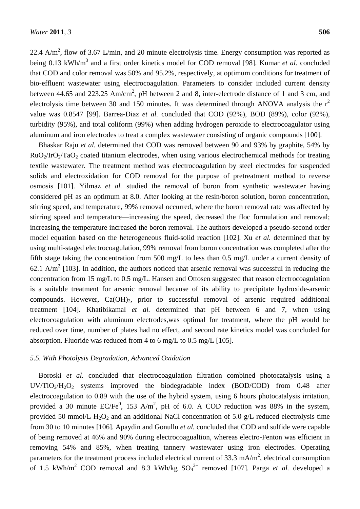22.4 A/m<sup>2</sup>, flow of 3.67 L/min, and 20 minute electrolysis time. Energy consumption was reported as being 0.13 kWh/m<sup>3</sup> and a first order kinetics model for COD removal [98]. Kumar *et al.* concluded that COD and color removal was 50% and 95.2%, respectively, at optimum conditions for treatment of bio-effluent wastewater using electrocoagulation. Parameters to consider included current density between 44.65 and 223.25 Am/cm<sup>2</sup>, pH between 2 and 8, inter-electrode distance of 1 and 3 cm, and electrolysis time between 30 and 150 minutes. It was determined through ANOVA analysis the  $r^2$ value was 0.8547 [99]. Barrea-Diaz *et al.* concluded that COD (92%), BOD (89%), color (92%), turbidity (95%), and total coliform (99%) when adding hydrogen peroxide to electrocoagulator using aluminum and iron electrodes to treat a complex wastewater consisting of organic compounds [100].

Bhaskar Raju *et al.* determined that COD was removed between 90 and 93% by graphite, 54% by  $RuO<sub>2</sub>/IrO<sub>2</sub>/TaO<sub>2</sub> coated titanium electrodes, when using various electrochemical methods for treating$ textile wastewater. The treatment method was electrocoagulation by steel electrodes for suspended solids and electroxidation for COD removal for the purpose of pretreatment method to reverse osmosis [101]. Yilmaz *et al.* studied the removal of boron from synthetic wastewater having considered pH as an optimum at 8.0. After looking at the resin/boron solution, boron concentration, stirring speed, and temperature, 99% removal occurred, where the boron removal rate was affected by stirring speed and temperature—increasing the speed, decreased the floc formulation and removal; increasing the temperature increased the boron removal. The authors developed a pseudo-second order model equation based on the heterogeneous fluid-solid reaction [102]. Xu *et al.* determined that by using multi-staged electrocoagulation, 99% removal from boron concentration was completed after the fifth stage taking the concentration from 500 mg/L to less than 0.5 mg/L under a current density of 62.1 A/m<sup>2</sup> [103]. In addition, the authors noticed that arsenic removal was successful in reducing the concentration from 15 mg/L to 0.5 mg/L. Hansen and Ottosen suggested that reason electrocoagulation is a suitable treatment for arsenic removal because of its ability to precipitate hydroxide-arsenic compounds. However,  $Ca(OH)_2$ , prior to successful removal of arsenic required additional treatment [104]. Khatibikamal *et al.* determined that pH between 6 and 7, when using electrocoagulation with aluminum electrodes,was optimal for treatment, where the pH would be reduced over time, number of plates had no effect, and second rate kinetics model was concluded for absorption. Fluoride was reduced from 4 to 6 mg/L to 0.5 mg/L [105].

#### *5.5. With Photolysis Degradation, Advanced Oxidation*

Boroski *et al.* concluded that electrocoagulation filtration combined photocatalysis using a UV/TiO<sub>2</sub>/H<sub>2</sub>O<sub>2</sub> systems improved the biodegradable index (BOD/COD) from 0.48 after electrocoagulation to 0.89 with the use of the hybrid system, using 6 hours photocatalysis irritation, provided a 30 minute EC/Fe<sup>0</sup>, 153 A/m<sup>2</sup>, pH of 6.0. A COD reduction was 88% in the system, provided 50 mmol/L  $H_2O_2$  and an additional NaCl concentration of 5.0 g/L reduced electrolysis time from 30 to 10 minutes [106]. Apaydin and Gonullu *et al.* concluded that COD and sulfide were capable of being removed at 46% and 90% during electrocoagualtion, whereas electro-Fenton was efficient in removing 54% and 85%, when treating tannery wastewater using iron electrodes. Operating parameters for the treatment process included electrical current of 33.3 mA/m<sup>2</sup>, electrical consumption of 1.5 kWh/m<sup>2</sup> COD removal and 8.3 kWh/kg SO<sub>4</sub><sup>2−</sup> removed [107]. Parga *et al.* developed a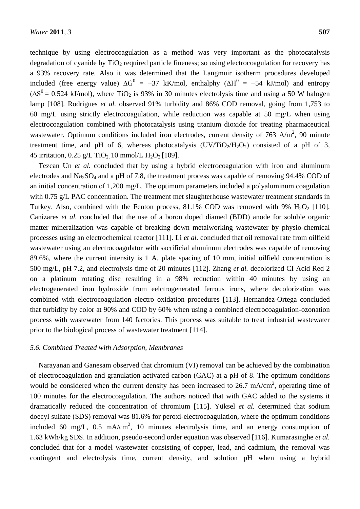technique by using electrocoagulation as a method was very important as the photocatalysis degradation of cyanide by  $TiO<sub>2</sub>$  required particle fineness; so using electrocoagulation for recovery has a 93% recovery rate. Also it was determined that the Langmuir isotherm procedures developed included (free energy value)  $\Delta G^0 = -37$  kK/mol, enthalphy ( $\Delta H^0 = -54$  kJ/mol) and entropy  $(\Delta S^0 = 0.524 \text{ kJ/mol})$ , where TiO<sub>2</sub> is 93% in 30 minutes electrolysis time and using a 50 W halogen lamp [108]. Rodrigues *et al.* observed 91% turbidity and 86% COD removal, going from 1,753 to 60 mg/L using strictly electrocoagulation, while reduction was capable at 50 mg/L when using electrocoagulation combined with photocatalysis using titanium dioxide for treating pharmaceutical wastewater. Optimum conditions included iron electrodes, current density of 763 A/m<sup>2</sup>, 90 minute treatment time, and pH of 6, whereas photocatalysis  $(UV/TiO<sub>2</sub>/H<sub>2</sub>O<sub>2</sub>)$  consisted of a pH of 3, 45 irritation, 0.25 g/L TiO<sub>2</sub> 10 mmol/L H<sub>2</sub>O<sub>2</sub> [109].

Tezcan Un *et al.* concluded that by using a hybrid electrocoagulation with iron and aluminum electrodes and Na<sub>2</sub>SO<sub>4</sub> and a pH of 7.8, the treatment process was capable of removing 94.4% COD of an initial concentration of 1,200 mg/L. The optimum parameters included a polyaluminum coagulation with 0.75 g/L PAC concentration. The treatment met slaughterhouse wastewater treatment standards in Turkey. Also, combined with the Fenton process,  $81.1\%$  COD was removed with 9% H<sub>2</sub>O<sub>2</sub> [110]. Canizares *et al.* concluded that the use of a boron doped diamed (BDD) anode for soluble organic matter mineralization was capable of breaking down metalworking wastewater by physio-chemical processes using an electrochemical reactor [111]. Li *et al.* concluded that oil removal rate from oilfield wastewater using an electrocoagulator with sacrificial aluminum electrodes was capable of removing 89.6%, where the current intensity is 1 A, plate spacing of 10 mm, initial oilfield concentration is 500 mg/L, pH 7.2, and electrolysis time of 20 minutes [112]. Zhang *et al.* decolorized CI Acid Red 2 on a platinum rotating disc resulting in a 98% reduction within 40 minutes by using an electrogenerated iron hydroxide from eelctrogenerated ferrous irons, where decolorization was combined with electrocoagulation electro oxidation procedures [113]. Hernandez-Ortega concluded that turbidity by color at 90% and COD by 60% when using a combined electrocoagulation-ozonation process with wastewater from 140 factories. This process was suitable to treat industrial wastewater prior to the biological process of wastewater treatment [114].

#### *5.6. Combined Treated with Adsorption, Membranes*

Narayanan and Ganesam observed that chromium (VI) removal can be achieved by the combination of electrocoagulation and granulation activated carbon (GAC) at a pH of 8. The optimum conditions would be considered when the current density has been increased to 26.7 mA/cm<sup>2</sup>, operating time of 100 minutes for the electrocoagulation. The authors noticed that with GAC added to the systems it dramatically reduced the concentration of chromium [115]. Yüksel *et al.* determined that sodium doecyl sulfate (SDS) removal was 81.6% for peroxi-electrocoagulation, where the optimum conditions included 60 mg/L, 0.5 mA/cm<sup>2</sup>, 10 minutes electrolysis time, and an energy consumption of 1.63 kWh/kg SDS. In addition, pseudo-second order equation was observed [116]. Kumarasinghe *et al.* concluded that for a model wastewater consisting of copper, lead, and cadmium, the removal was contingent and electrolysis time, current density, and solution pH when using a hybrid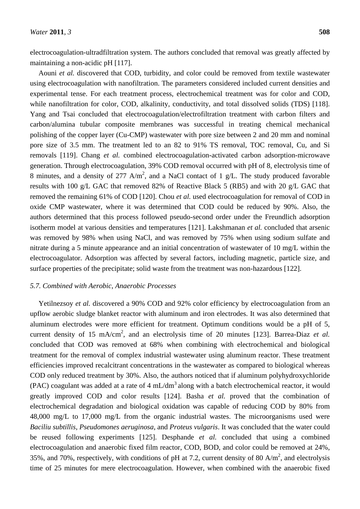electrocoagulation-ultradfiltration system. The authors concluded that removal was greatly affected by maintaining a non-acidic pH [117].

Aouni *et al.* discovered that COD, turbidity, and color could be removed from textile wastewater using electrocoagulation with nanofiltration. The parameters considered included current densities and experimental tense. For each treatment process, electrochemical treatment was for color and COD, while nanofiltration for color, COD, alkalinity, conductivity, and total dissolved solids (TDS) [118]. Yang and Tsai concluded that electrocoagulation/electrofiltration treatment with carbon filters and carbon/alumina tubular composite membranes was successful in treating chemical mechanical polishing of the copper layer (Cu-CMP) wastewater with pore size between 2 and 20 mm and nominal pore size of 3.5 mm. The treatment led to an 82 to 91% TS removal, TOC removal, Cu, and Si removals [119]. Chang *et al.* combined electrocoagulation-activated carbon adsorption-microwave generation. Through electrocoagulation, 39% COD removal occurred with pH of 8, electrolysis time of 8 minutes, and a density of 277 A/m<sup>2</sup>, and a NaCl contact of 1 g/L. The study produced favorable results with 100 g/L GAC that removed 82% of Reactive Black 5 (RB5) and with 20 g/L GAC that removed the remaining 61% of COD [120]. Chou *et al.* used electrocoagulation for removal of COD in oxide CMP wastewater, where it was determined that COD could be reduced by 90%. Also, the authors determined that this process followed pseudo-second order under the Freundlich adsorption isotherm model at various densities and temperatures [121]. Lakshmanan *et al.* concluded that arsenic was removed by 98% when using NaCl, and was removed by 75% when using sodium sulfate and nitrate during a 5 minute appearance and an initial concentration of wastewater of 10 mg/L within the electrocoagulator. Adsorption was affected by several factors, including magnetic, particle size, and surface properties of the precipitate; solid waste from the treatment was non-hazardous [122].

# *5.7. Combined with Aerobic, Anaerobic Processes*

Yetilnezsoy *et al.* discovered a 90% COD and 92% color efficiency by electrocoagulation from an upflow aerobic sludge blanket reactor with aluminum and iron electrodes. It was also determined that aluminum electrodes were more efficient for treatment. Optimum conditions would be a pH of 5, current density of 15 mA/cm<sup>2</sup>, and an electrolysis time of 20 minutes [123]. Barrea-Diaz *et al.* concluded that COD was removed at 68% when combining with electrochemical and biological treatment for the removal of complex industrial wastewater using aluminum reactor. These treatment efficiencies improved recalcitrant concentrations in the wastewater as compared to biological whereas COD only reduced treatment by 30%. Also, the authors noticed that if aluminum polyhydroxychloride (PAC) coagulant was added at a rate of 4 mL/dm<sup>3</sup> along with a batch electrochemical reactor, it would greatly improved COD and color results [124]. Basha *et al.* proved that the combination of electrochemical degradation and biological oxidation was capable of reducing COD by 80% from 48,000 mg/L to 17,000 mg/L from the organic industrial wastes. The microorganisms used were *Baciliu subtillis*, *Pseudomones aeruginosa*, and *Proteus vulgaris*. It was concluded that the water could be reused following experiments [125]. Desphande *et al.* concluded that using a combined electrocoagulation and anaerobic fixed film reactor, COD, BOD, and color could be removed at 24%, 35%, and 70%, respectively, with conditions of pH at 7.2, current density of 80 A/m<sup>2</sup>, and electrolysis time of 25 minutes for mere electrocoagulation. However, when combined with the anaerobic fixed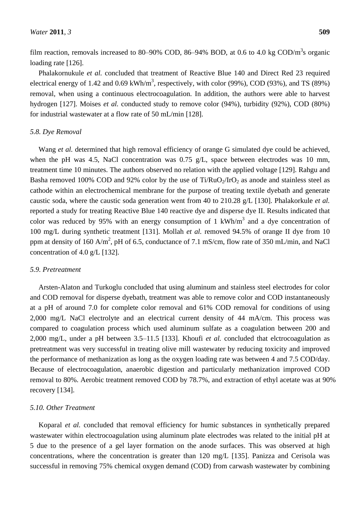film reaction, removals increased to 80–90% COD, 86–94% BOD, at 0.6 to 4.0 kg COD/m<sup>3</sup>s organic loading rate [126].

Phalakornukule *et al.* concluded that treatment of Reactive Blue 140 and Direct Red 23 required electrical energy of 1.42 and 0.69 kWh/m<sup>3</sup>, respectively, with color (99%), COD (93%), and TS (89%) removal, when using a continuous electrocoagulation. In addition, the authors were able to harvest hydrogen [127]. Moises *et al.* conducted study to remove color (94%), turbidity (92%), COD (80%) for industrial wastewater at a flow rate of 50 mL/min [128].

#### *5.8. Dye Removal*

Wang *et al.* determined that high removal efficiency of orange G simulated dye could be achieved, when the pH was 4.5, NaCl concentration was 0.75 g/L, space between electrodes was 10 mm, treatment time 10 minutes. The authors observed no relation with the applied voltage [129]. Rahgu and Basha removed 100% COD and 92% color by the use of  $Ti/RuO<sub>2</sub>/IrO<sub>2</sub>$  as anode and stainless steel as cathode within an electrochemical membrane for the purpose of treating textile dyebath and generate caustic soda, where the caustic soda generation went from 40 to 210.28 g/L [130]. Phalakorkule *et al.* reported a study for treating Reactive Blue 140 reactive dye and disperse dye II. Results indicated that color was reduced by 95% with an energy consumption of 1 kWh/m<sup>3</sup> and a dye concentration of 100 mg/L during synthetic treatment [131]. Mollah *et al.* removed 94.5% of orange II dye from 10 ppm at density of 160 A/m<sup>2</sup>, pH of 6.5, conductance of 7.1 mS/cm, flow rate of 350 mL/min, and NaCl concentration of 4.0 g/L [132].

#### *5.9. Pretreatment*

Arsten-Alaton and Turkoglu concluded that using aluminum and stainless steel electrodes for color and COD removal for disperse dyebath, treatment was able to remove color and COD instantaneously at a pH of around 7.0 for complete color removal and 61% COD removal for conditions of using 2,000 mg/L NaCl electrolyte and an electrical current density of 44 mA/cm. This process was compared to coagulation process which used aluminum sulfate as a coagulation between 200 and 2,000 mg/L, under a pH between 3.5–11.5 [133]. Khoufi *et al.* concluded that elctrocoagulation as pretreatment was very successful in treating olive mill wastewater by reducing toxicity and improved the performance of methanization as long as the oxygen loading rate was between 4 and 7.5 COD/day. Because of electrocoagulation, anaerobic digestion and particularly methanization improved COD removal to 80%. Aerobic treatment removed COD by 78.7%, and extraction of ethyl acetate was at 90% recovery [134].

# *5.10. Other Treatment*

Koparal *et al.* concluded that removal efficiency for humic substances in synthetically prepared wastewater within electrocoagulation using aluminum plate electrodes was related to the initial pH at 5 due to the presence of a gel layer formation on the anode surfaces. This was observed at high concentrations, where the concentration is greater than 120 mg/L [135]. Panizza and Cerisola was successful in removing 75% chemical oxygen demand (COD) from carwash wastewater by combining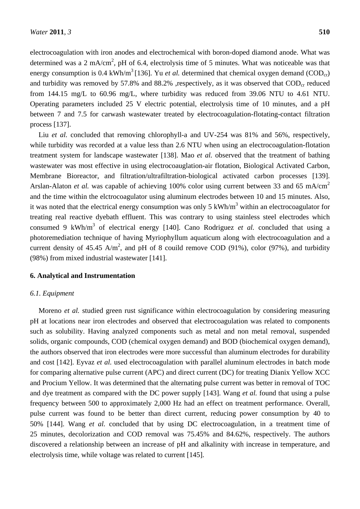electrocoagulation with iron anodes and electrochemical with boron-doped diamond anode. What was determined was a 2 mA/cm<sup>2</sup>, pH of 6.4, electrolysis time of 5 minutes. What was noticeable was that energy consumption is 0.4 kWh/m<sup>3</sup> [136]. Yu *et al*. determined that chemical oxygen demand (COD<sub>cr</sub>) and turbidity was removed by 57.8% and 88.2% ,respectively, as it was observed that  $\text{COD}_{cr}$  reduced from 144.15 mg/L to 60.96 mg/L, where turbidity was reduced from 39.06 NTU to 4.61 NTU. Operating parameters included 25 V electric potential, electrolysis time of 10 minutes, and a pH between 7 and 7.5 for carwash wastewater treated by electrocoagulation-flotating-contact filtration process [137].

Liu *et al.* concluded that removing chlorophyll-a and UV-254 was 81% and 56%, respectively, while turbidity was recorded at a value less than 2.6 NTU when using an electrocoagulation-flotation treatment system for landscape wastewater [138]. Mao *et al.* observed that the treatment of bathing wastewater was most effective in using electrocoauglation-air flotation, Biological Activated Carbon, Membrane Bioreactor, and filtration/ultrafiltration-biological activated carbon processes [139]. Arslan-Alaton *et al.* was capable of achieving 100% color using current between 33 and 65 mA/cm<sup>2</sup> and the time within the elctrocoagulator using aluminum electrodes between 10 and 15 minutes. Also, it was noted that the electrical energy consumption was only 5 kWh/ $m<sup>3</sup>$  within an electrocoagulator for treating real reactive dyebath effluent. This was contrary to using stainless steel electrodes which consumed 9 kWh/m<sup>3</sup> of electrical energy [140]. Cano Rodriguez *et al.* concluded that using a photoremediation technique of having Myriophyllum aquaticum along with electrocoagulation and a current density of 45.45 A/m<sup>2</sup>, and pH of 8 couild remove COD (91%), color (97%), and turbidity (98%) from mixed industrial wastewater [141].

#### **6. Analytical and Instrumentation**

#### *6.1. Equipment*

Moreno *et al.* studied green rust significance within electrocoagulation by considering measuring pH at locations near iron electrodes and observed that electrocoagulation was related to components such as solubility. Having analyzed components such as metal and non metal removal, suspended solids, organic compounds, COD (chemical oxygen demand) and BOD (biochemical oxygen demand), the authors observed that iron electrodes were more successful than aluminum electrodes for durability and cost [142]. Eyvaz *et al.* used electrocoagulation with parallel aluminum electrodes in batch mode for comparing alternative pulse current (APC) and direct current (DC) for treating Dianix Yellow XCC and Procium Yellow. It was determined that the alternating pulse current was better in removal of TOC and dye treatment as compared with the DC power supply [143]. Wang *et al.* found that using a pulse frequency between 500 to approximately 2,000 Hz had an effect on treatment performance. Overall, pulse current was found to be better than direct current, reducing power consumption by 40 to 50% [144]. Wang *et al.* concluded that by using DC electrocoagulation, in a treatment time of 25 minutes, decolorization and COD removal was 75.45% and 84.62%, respectively. The authors discovered a relationship between an increase of pH and alkalinity with increase in temperature, and electrolysis time, while voltage was related to current [145].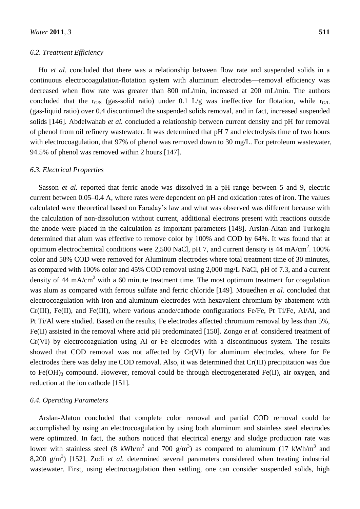# *6.2. Treatment Efficiency*

Hu *et al.* concluded that there was a relationship between flow rate and suspended solids in a continuous electrocoagulation-flotation system with aluminum electrodes—removal efficiency was decreased when flow rate was greater than 800 mL/min, increased at 200 mL/min. The authors concluded that the  $r_{G/S}$  (gas-solid ratio) under 0.1 L/g was ineffective for flotation, while  $r_{G/L}$ (gas-liquid ratio) over 0.4 discontinued the suspended solids removal, and in fact, increased suspended solids [146]. Abdelwahab *et al.* concluded a relationship between current density and pH for removal of phenol from oil refinery wastewater. It was determined that pH 7 and electrolysis time of two hours with electrocoagulation, that 97% of phenol was removed down to 30 mg/L. For petroleum wastewater, 94.5% of phenol was removed within 2 hours [147].

#### *6.3. Electrical Properties*

Sasson *et al.* reported that ferric anode was dissolved in a pH range between 5 and 9, electric current between 0.05–0.4 A, where rates were dependent on pH and oxidation rates of iron. The values calculated were theoretical based on Faraday's law and what was observed was different because with the calculation of non-dissolution without current, additional electrons present with reactions outside the anode were placed in the calculation as important parameters [148]. Arslan-Altan and Turkoglu determined that alum was effective to remove color by 100% and COD by 64%. It was found that at optimum electrochemical conditions were 2,500 NaCl, pH 7, and current density is 44 mA/cm<sup>2</sup>. 100% color and 58% COD were removed for Aluminum electrodes where total treatment time of 30 minutes, as compared with 100% color and 45% COD removal using 2,000 mg/L NaCl, pH of 7.3, and a current density of 44 mA/cm<sup>2</sup> with a 60 minute treatment time. The most optimum treatment for coagulation was alum as compared with ferrous sulfate and ferric chloride [149]. Mouedhen *et al.* concluded that electrocoagulation with iron and aluminum electrodes with hexavalent chromium by abatement with Cr(III), Fe(II), and Fe(III), where various anode/cathode configurations Fe/Fe, Pt Ti/Fe, Al/Al, and Pt Ti/Al were studied. Based on the results, Fe electrodes affected chromium removal by less than 5%, Fe(II) assisted in the removal where acid pH predominated [150]. Zongo *et al.* considered treatment of Cr(VI) by electrocoagulation using Al or Fe electrodes with a discontinuous system. The results showed that COD removal was not affected by Cr(VI) for aluminum electrodes, where for Fe electrodes there was delay ine COD removal. Also, it was determined that Cr(III) precipitation was due to Fe(OH)<sub>3</sub> compound. However, removal could be through electrogenerated Fe(II), air oxygen, and reduction at the ion cathode [151].

# *6.4. Operating Parameters*

Arslan-Alaton concluded that complete color removal and partial COD removal could be accomplished by using an electrocoagulation by using both aluminum and stainless steel electrodes were optimized. In fact, the authors noticed that electrical energy and sludge production rate was lower with stainless steel (8 kWh/m<sup>3</sup> and 700 g/m<sup>3</sup>) as compared to aluminum (17 kWh/m<sup>3</sup> and 8,200 g/m<sup>3</sup>) [152]. Zodi *et al.* determined several parameters considered when treating industrial wastewater. First, using electrocoagulation then settling, one can consider suspended solids, high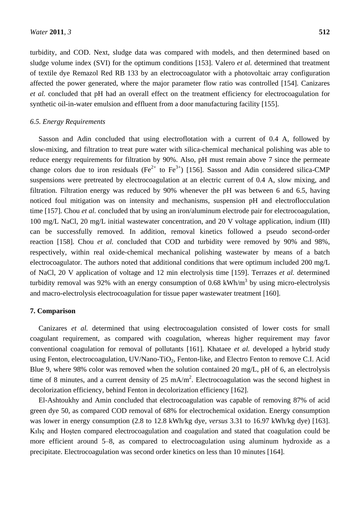turbidity, and COD. Next, sludge data was compared with models, and then determined based on sludge volume index (SVI) for the optimum conditions [153]. Valero *et al.* determined that treatment of textile dye Remazol Red RB 133 by an electrocoagulator with a photovoltaic array configuration affected the power generated, where the major parameter flow ratio was controlled [154]. Canizares *et al.* concluded that pH had an overall effect on the treatment efficiency for electrocoagulation for synthetic oil-in-water emulsion and effluent from a door manufacturing facility [155].

## *6.5. Energy Requirements*

Sasson and Adin concluded that using electroflotation with a current of 0.4 A, followed by slow-mixing, and filtration to treat pure water with silica-chemical mechanical polishing was able to reduce energy requirements for filtration by 90%. Also, pH must remain above 7 since the permeate change colors due to iron residuals (Fe<sup>2+</sup> to Fe<sup>3+</sup>) [156]. Sasson and Adin considered silica-CMP suspensions were pretreated by electrocoagulation at an electric current of 0.4 A, slow mixing, and filtration. Filtration energy was reduced by 90% whenever the pH was between 6 and 6.5, having noticed foul mitigation was on intensity and mechanisms, suspension pH and electroflocculation time [157]. Chou *et al.* concluded that by using an iron/aluminum electrode pair for electrocoagulation, 100 mg/L NaCl, 20 mg/L initial wastewater concentration, and 20 V voltage application, indium (III) can be successfully removed. In addition, removal kinetics followed a pseudo second-order reaction [158]. Chou *et al.* concluded that COD and turbidity were removed by 90% and 98%, respectively, within real oxide-chemical mechanical polishing wastewater by means of a batch electrocoagulator. The authors noted that additional conditions that were optimum included 200 mg/L of NaCl, 20 V application of voltage and 12 min electrolysis time [159]. Terrazes *et al.* determined turbidity removal was 92% with an energy consumption of 0.68 kWh/m<sup>3</sup> by using micro-electrolysis and macro-electrolysis electrocoagulation for tissue paper wastewater treatment [160].

# **7. Comparison**

Canizares *et al.* determined that using electrocoagulation consisted of lower costs for small coagulant requirement, as compared with coagulation, whereas higher requirement may favor conventional coagulation for removal of pollutants [161]. Khataee *et al.* developed a hybrid study using Fenton, electrocoagulation, UV/Nano-TiO<sub>2</sub>, Fenton-like, and Electro Fenton to remove C.I. Acid Blue 9, where 98% color was removed when the solution contained 20 mg/L, pH of 6, an electrolysis time of 8 minutes, and a current density of 25 mA/m<sup>2</sup>. Electrocoagulation was the second highest in decolorization efficiency, behind Fenton in decolorization efficiency [162].

El-Ashtoukhy and Amin concluded that electrocoagulation was capable of removing 87% of acid green dye 50, as compared COD removal of 68% for electrochemical oxidation. Energy consumption was lower in energy consumption (2.8 to 12.8 kWh/kg dye, *versus* 3.31 to 16.97 kWh/kg dye) [163]. Kılıç and Hoşten compared electrocoagulation and coagulation and stated that coagulation could be more efficient around 5–8, as compared to electrocoagulation using aluminum hydroxide as a precipitate. Electrocoagulation was second order kinetics on less than 10 minutes [164].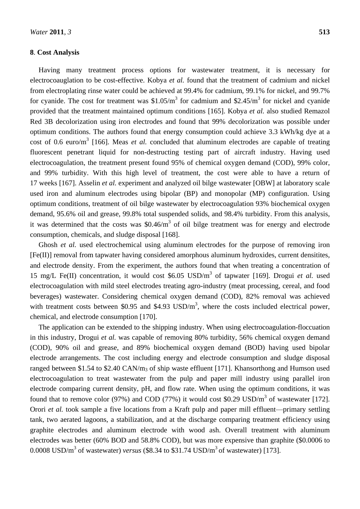# **8**. **Cost Analysis**

Having many treatment process options for wastewater treatment, it is necessary for electrocoauglation to be cost-effective. Kobya *et al.* found that the treatment of cadmium and nickel from electroplating rinse water could be achieved at 99.4% for cadmium, 99.1% for nickel, and 99.7% for cyanide. The cost for treatment was  $$1.05/m<sup>3</sup>$  for cadmium and  $$2.45/m<sup>3</sup>$  for nickel and cyanide provided that the treatment maintained optimum conditions [165]. Kobya *et al.* also studied Remazol Red 3B decolorization using iron electrodes and found that 99% decolorization was possible under optimum conditions. The authors found that energy consumption could achieve 3.3 kWh/kg dye at a cost of 0.6 euro/m<sup>3</sup> [166]. Meas *et al.* concluded that aluminum electrodes are capable of treating fluorescent penetrant liquid for non-destructing testing part of aircraft industry. Having used electrocoagulation, the treatment present found 95% of chemical oxygen demand (COD), 99% color, and 99% turbidity. With this high level of treatment, the cost were able to have a return of 17 weeks [167]. Asselin *et al.* experiment and analyzed oil bilge wastewater [OBW] at laboratory scale used iron and aluminum electrodes using bipolar (BP) and monopolar (MP) configuration. Using optimum conditions, treatment of oil bilge wastewater by electrocoagulation 93% biochemical oxygen demand, 95.6% oil and grease, 99.8% total suspended solids, and 98.4% turbidity. From this analysis, it was determined that the costs was  $$0.46/m<sup>3</sup>$  of oil bilge treatment was for energy and electrode consumption, chemicals, and sludge disposal [168].

Ghosh *et al.* used electrochemical using aluminum electrodes for the purpose of removing iron [Fe(II)] removal from tapwater having considered amorphous aluminum hydroxides, current densitites, and electrode density. From the experiment, the authors found that when treating a concentration of 15 mg/L Fe(II) concentration, it would cost \$6.05 USD/m<sup>3</sup> of tapwater [169]. Drogui et al. used electrocoagulation with mild steel electrodes treating agro-industry (meat processing, cereal, and food beverages) wastewater. Considering chemical oxygen demand (COD), 82% removal was achieved with treatment costs between \$0.95 and \$4.93  $\text{USD/m}^3$ , where the costs included electrical power, chemical, and electrode consumption [170].

The application can be extended to the shipping industry. When using electrocoagulation-floccuation in this industry, Drogui *et al.* was capable of removing 80% turbidity, 56% chemical oxygen demand (COD), 90% oil and grease, and 89% biochemical oxygen demand (BOD) having used bipolar electrode arrangements. The cost including energy and electrode consumption and sludge disposal ranged between \$1.54 to \$2.40 CAN/m<sub>3</sub> of ship waste effluent [171]. Khansorthong and Humson used electrocoagulation to treat wastewater from the pulp and paper mill industry using parallel iron electrode comparing current density, pH, and flow rate. When using the optimum conditions, it was found that to remove color (97%) and COD (77%) it would cost \$0.29 USD/ $m<sup>3</sup>$  of wastewater [172]. Orori *et al.* took sample a five locations from a Kraft pulp and paper mill effluent—primary settling tank, two aerated lagoons, a stabilization, and at the discharge comparing treatment efficiency using graphite electrodes and aluminum electrode with wood ash. Overall treatment with aluminum electrodes was better (60% BOD and 58.8% COD), but was more expensive than graphite (\$0.0006 to 0.0008 USD/m<sup>3</sup> of wastewater) *versus* (\$8.34 to \$31.74 USD/m<sup>3</sup> of wastewater) [173].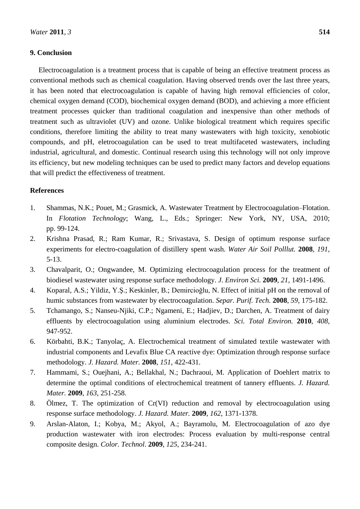# **9. Conclusion**

Electrocoagulation is a treatment process that is capable of being an effective treatment process as conventional methods such as chemical coagulation. Having observed trends over the last three years, it has been noted that electrocoagulation is capable of having high removal efficiencies of color, chemical oxygen demand (COD), biochemical oxygen demand (BOD), and achieving a more efficient treatment processes quicker than traditional coagulation and inexpensive than other methods of treatment such as ultraviolet (UV) and ozone. Unlike biological treatment which requires specific conditions, therefore limiting the ability to treat many wastewaters with high toxicity, xenobiotic compounds, and pH, eletrocoagulation can be used to treat multifaceted wastewaters, including industrial, agricultural, and domestic. Continual research using this technology will not only improve its efficiency, but new modeling techniques can be used to predict many factors and develop equations that will predict the effectiveness of treatment.

# **References**

- 1. Shammas, N.K.; Pouet, M.; Grasmick, A. Wastewater Treatment by Electrocoagulation–Flotation. In *Flotation Technology*; Wang, L., Eds.; Springer: New York, NY, USA, 2010; pp. 99-124.
- 2. Krishna Prasad, R.; Ram Kumar, R.; Srivastava, S. Design of optimum response surface experiments for electro-coagulation of distillery spent wash. *Water Air Soil Polllut.* **2008**, *191*, 5-13.
- 3. Chavalparit, O.; Ongwandee, M. Optimizing electrocoagulation process for the treatment of biodiesel wastewater using response surface methodology. *J. Environ Sci.* **2009**, *21*, 1491-1496.
- 4. Koparal, A.S.; Yildiz, Y.Ş.; Keskinler, B.; Demircioğlu, N. Effect of initial pH on the removal of humic substances from wastewater by electrocoagulation. *Separ. Purif. Tech.* **2008**, *59*, 175-182.
- 5. Tchamango, S.; Nanseu-Njiki, C.P.; Ngameni, E.; Hadjiev, D.; Darchen, A. Treatment of dairy effluents by electrocoagulation using aluminium electrodes. *Sci. Total Environ.* **2010**, *408*, 947-952.
- 6. Körbahti, B.K.; Tanyolaç, A. Electrochemical treatment of simulated textile wastewater with industrial components and Levafix Blue CA reactive dye: Optimization through response surface methodology. *J. Hazard. Mater.* **2008**, *151*, 422-431.
- 7. Hammami, S.; Ouejhani, A.; Bellakhal, N.; Dachraoui, M. Application of Doehlert matrix to determine the optimal conditions of electrochemical treatment of tannery effluents. *J. Hazard. Mater.* **2009**, *163*, 251-258.
- 8. Ölmez, T. The optimization of Cr(VI) reduction and removal by electrocoagulation using response surface methodology. *J. Hazard. Mater.* **2009**, *162*, 1371-1378.
- 9. Arslan-Alaton, I.; Kobya, M.; Akyol, A.; Bayramolu, M. Electrocoagulation of azo dye production wastewater with iron electrodes: Process evaluation by multi-response central composite design. *Color. Technol*. **2009**, *125*, 234-241.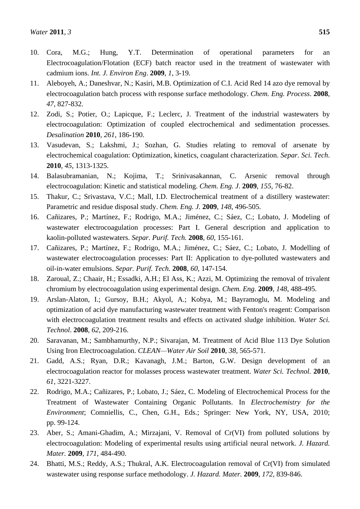- 10. Cora, M.G.; Hung, Y.T. Determination of operational parameters for an Electrocoagulation/Flotation (ECF) batch reactor used in the treatment of wastewater with cadmium ions. *Int. J. Environ Eng*. **2009**, *1*, 3-19.
- 11. Aleboyeh, A.; Daneshvar, N.; Kasiri, M.B. Optimization of C.I. Acid Red 14 azo dye removal by electrocoagulation batch process with response surface methodology. *Chem. Eng. Process*. **2008**, *47*, 827-832.
- 12. Zodi, S.; Potier, O.; Lapicque, F.; Leclerc, J. Treatment of the industrial wastewaters by electrocoagulation: Optimization of coupled electrochemical and sedimentation processes. *Desalination* **2010**, *261*, 186-190.
- 13. Vasudevan, S.; Lakshmi, J.; Sozhan, G. Studies relating to removal of arsenate by electrochemical coagulation: Optimization, kinetics, coagulant characterization. *Separ. Sci. Tech*. **2010**, *45*, 1313-1325.
- 14. Balasubramanian, N.; Kojima, T.; Srinivasakannan, C. Arsenic removal through electrocoagulation: Kinetic and statistical modeling. *Chem. Eng. J*. **2009**, *155*, 76-82.
- 15. Thakur, C.; Srivastava, V.C.; Mall, I.D. Electrochemical treatment of a distillery wastewater: Parametric and residue disposal study. *Chem. Eng. J.* **2009**, *148*, 496-505.
- 16. Cañizares, P.; Martínez, F.; Rodrigo, M.A.; Jiménez, C.; Sáez, C.; Lobato, J. Modeling of wastewater electrocoagulation processes: Part I. General description and application to kaolin-polluted wastewaters. *Separ. Purif. Tech.* **2008**, *60*, 155-161.
- 17. Cañizares, P.; Martínez, F.; Rodrigo, M.A.; Jiménez, C.; Sáez, C.; Lobato, J. Modelling of wastewater electrocoagulation processes: Part II: Application to dye-polluted wastewaters and oil-in-water emulsions. *Separ. Purif. Tech.* **2008**, *60*, 147-154.
- 18. Zaroual, Z.; Chaair, H.; Essadki, A.H.; El Ass, K.; Azzi, M. Optimizing the removal of trivalent chromium by electrocoagulation using experimental design. *Chem. Eng.* **2009**, *148*, 488-495.
- 19. Arslan-Alaton, I.; Gursoy, B.H.; Akyol, A.; Kobya, M.; Bayramoglu, M. Modeling and optimization of acid dye manufacturing wastewater treatment with Fenton's reagent: Comparison with electrocoagulation treatment results and effects on activated sludge inhibition. *Water Sci. Technol*. **2008**, *62*, 209-216.
- 20. Saravanan, M.; Sambhamurthy, N.P.; Sivarajan, M. Treatment of Acid Blue 113 Dye Solution Using Iron Electrocoagulation. *CLEAN—Water Air Soil* **2010**, *38*, 565-571.
- 21. Gadd, A.S.; Ryan, D.R.; Kavanagh, J.M.; Barton, G.W. Design development of an electrocoagulation reactor for molasses process wastewater treatment. *Water Sci. Technol.* **2010**, *61*, 3221-3227.
- 22. Rodrigo, M.A.; Cañizares, P.; Lobato, J.; Sáez, C. Modeling of Electrochemical Process for the Treatment of Wastewater Containing Organic Pollutants. In *Electrochemistry for the Environment*; Comniellis, C., Chen, G.H., Eds.; Springer: New York, NY, USA, 2010; pp. 99-124.
- 23. Aber, S.; Amani-Ghadim, A.; Mirzajani, V. Removal of Cr(VI) from polluted solutions by electrocoagulation: Modeling of experimental results using artificial neural network. *J. Hazard. Mater.* **2009**, *171*, 484-490.
- 24. Bhatti, M.S.; Reddy, A.S.; Thukral, A.K. Electrocoagulation removal of Cr(VI) from simulated wastewater using response surface methodology. *J. Hazard. Mater.* **2009**, *172*, 839-846.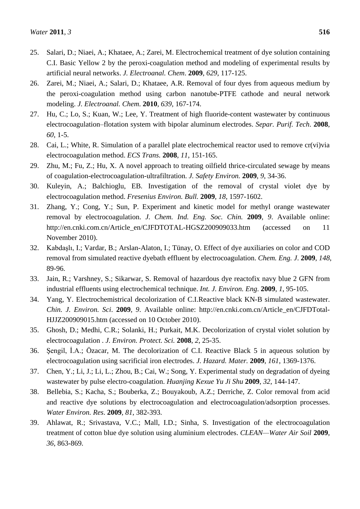- 25. Salari, D.; Niaei, A.; Khataee, A.; Zarei, M. Electrochemical treatment of dye solution containing C.I. Basic Yellow 2 by the peroxi-coagulation method and modeling of experimental results by artificial neural networks. *J. Electroanal. Chem*. **2009**, *629*, 117-125.
- 26. Zarei, M.; Niaei, A.; Salari, D.; Khataee, A.R. Removal of four dyes from aqueous medium by the peroxi-coagulation method using carbon nanotube-PTFE cathode and neural network modeling. *J. Electroanal. Chem*. **2010**, *639*, 167-174.
- 27. Hu, C.; Lo, S.; Kuan, W.; Lee, Y. Treatment of high fluoride-content wastewater by continuous electrocoagulation–flotation system with bipolar aluminum electrodes. *Separ. Purif. Tech*. **2008**, *60*, 1-5.
- 28. Cai, L.; White, R. Simulation of a parallel plate electrochemical reactor used to remove cr(vi)via electrocoagulation method. *ECS Trans.* **2008**, *11*, 151-165.
- 29. Zhu, M.; Fu, Z.; Hu, X. A novel approach to treating oilfield thrice-circulated sewage by means of coagulation-electrocoagulation-ultrafiltration. *J. Safety Environ.* **2009**, *9*, 34-36.
- 30. Kuleyin, A.; Balchioglu, EB. Investigation of the removal of crystal violet dye by electrocoagulation method. *Fresenius Environ. Bull.* **2009**, *18*, 1597-1602.
- 31. Zhang, Y.; Cong, Y.; Sun, P. Experiment and kinetic model for methyl orange wastewater removal by electrocoagulation. *J. Chem. Ind. Eng. Soc. Chin.* **2009**, *9*. Available online: http://en.cnki.com.cn/Article\_en/CJFDTOTAL-HGSZ200909033.htm (accessed on 11 November 2010).
- 32. Kabdaşlı, I.; Vardar, B.; Arslan-Alaton, I.; Tünay, O. Effect of dye auxiliaries on color and COD removal from simulated reactive dyebath effluent by electrocoagulation. *Chem. Eng. J*. **2009**, *148*, 89-96.
- 33. Jain, R.; Varshney, S.; Sikarwar, S. Removal of hazardous dye reactofix navy blue 2 GFN from industrial effluents using electrochemical technique. *Int. J. Environ. Eng*. **2009**, *1*, 95-105.
- 34. Yang, Y. Electrochemistrical decolorization of C.I.Reactive black KN-B simulated wastewater. *Chin. J. Environ. Sci*. **2009**, *9*. Available online: http://en.cnki.com.cn/Article\_en/CJFDTotal-HJJZ200909015.htm (accessed on 10 October 2010).
- 35. Ghosh, D.; Medhi, C.R.; Solanki, H.; Purkait, M.K. Decolorization of crystal violet solution by electrocoagulation . *J. Environ. Protect. Sci.* **2008**, *2*, 25-35.
- 36. Şengil, İ.A.; Özacar, M. The decolorization of C.I. Reactive Black 5 in aqueous solution by electrocoagulation using sacrificial iron electrodes. *J. Hazard. Mater.* **2009**, *161*, 1369-1376.
- 37. Chen, Y.; Li, J.; Li, L.; Zhou, B.; Cai, W.; Song, Y. Experimental study on degradation of dyeing wastewater by pulse electro-coagulation. *Huanjing Kexue Yu Ji Shu* **2009**, *32*, 144-147.
- 38. Bellebia, S.; Kacha, S.; Bouberka, Z.; Bouyakoub, A.Z.; Derriche, Z. Color removal from acid and reactive dye solutions by electrocoagulation and electrocoagulation/adsorption processes. *Water Environ. Res*. **2009**, *81*, 382-393.
- 39. Ahlawat, R.; Srivastava, V.C.; Mall, I.D.; Sinha, S. Investigation of the electrocoagulation treatment of cotton blue dye solution using aluminium electrodes. *CLEAN—Water Air Soil* **2009**, *36*, 863-869.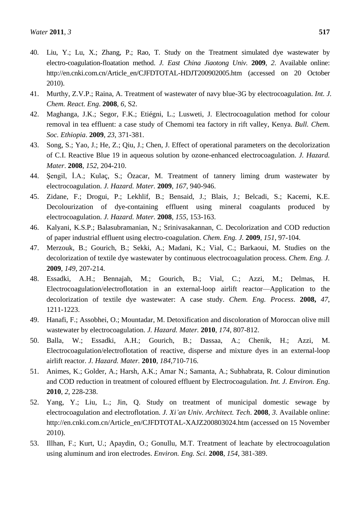- 40. Liu, Y.; Lu, X.; Zhang, P.; Rao, T. Study on the Treatment simulated dye wastewater by electro-coagulation-floatation method. *J. East China Jiaotong Univ.* **2009**, *2*. Available online: http://en.cnki.com.cn/Article\_en/CJFDTOTAL-HDJT200902005.htm (accessed on 20 October 2010).
- 41. Murthy, Z.V.P.; Raina, A. Treatment of wastewater of navy blue-3G by electrocoagulation. *Int. J. Chem. React. Eng*. **2008**, *6*, S2.
- 42. Maghanga, J.K.; Segor, F.K.; Etiégni, L.; Lusweti, J. Electrocoagulation method for colour removal in tea effluent: a case study of Chemomi tea factory in rift valley, Kenya. *Bull. Chem. Soc. Ethiopia*. **2009**, *23*, 371-381.
- 43. Song, S.; Yao, J.; He, Z.; Qiu, J.; Chen, J. Effect of operational parameters on the decolorization of C.I. Reactive Blue 19 in aqueous solution by ozone-enhanced electrocoagulation. *J. Hazard. Mater*. **2008**, *152*, 204-210.
- 44. Şengil, İ.A.; Kulaç, S.; Özacar, M. Treatment of tannery liming drum wastewater by electrocoagulation. *J. Hazard. Mater.* **2009**, *167*, 940-946.
- 45. Zidane, F.; Drogui, P.; Lekhlif, B.; Bensaid, J.; Blais, J.; Belcadi, S.; Kacemi, K.E. Decolourization of dye-containing effluent using mineral coagulants produced by electrocoagulation. *J. Hazard. Mater.* **2008**, *155*, 153-163.
- 46. Kalyani, K.S.P.; Balasubramanian, N.; Srinivasakannan, C. Decolorization and COD reduction of paper industrial effluent using electro-coagulation. *Chem. Eng. J.* **2009**, *151*, 97-104.
- 47. Merzouk, B.; Gourich, B.; Sekki, A.; Madani, K.; Vial, C.; Barkaoui, M. Studies on the decolorization of textile dye wastewater by continuous electrocoagulation process. *Chem. Eng. J.* **2009**, *149*, 207-214.
- 48. Essadki, A.H.; Bennajah, M.; Gourich, B.; Vial, C.; Azzi, M.; Delmas, H. Electrocoagulation/electroflotation in an external-loop airlift reactor—Application to the decolorization of textile dye wastewater: A case study. *Chem. Eng. Process*. **2008,** *47*, 1211-1223.
- 49. Hanafi, F.; Assobhei, O.; Mountadar, M. Detoxification and discoloration of Moroccan olive mill wastewater by electrocoagulation. *J. Hazard. Mater.* **2010**, *174*, 807-812.
- 50. Balla, W.; Essadki, A.H.; Gourich, B.; Dassaa, A.; Chenik, H.; Azzi, M. Electrocoagulation/electroflotation of reactive, disperse and mixture dyes in an external-loop airlift reactor. *J. Hazard. Mater.* **2010**, *184*,710-716.
- 51. Animes, K.; Golder, A.; Harsh, A.K.; Amar N.; Samanta, A.; Subhabrata, R. Colour diminution and COD reduction in treatment of coloured effluent by Electrocoagulation. *Int. J. Environ. Eng*. **2010**, *2*, 228-238.
- 52. Yang, Y.; Liu, L.; Jin, Q. Study on treatment of municipal domestic sewage by electrocoagulation and electroflotation. *J. Xi'an Univ. Architect. Tech*. **2008**, *3*. Available online: http://en.cnki.com.cn/Article\_en/CJFDTOTAL-XAJZ200803024.htm (accessed on 15 November 2010).
- 53. Illhan, F.; Kurt, U.; Apaydin, O.; Gonullu, M.T. Treatment of leachate by electrocoagulation using aluminum and iron electrodes. *Environ. Eng. Sci*. **2008**, *154*, 381-389.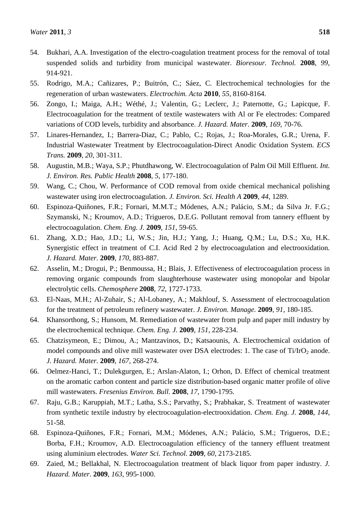- 54. Bukhari, A.A. Investigation of the electro-coagulation treatment process for the removal of total suspended solids and turbidity from municipal wastewater. *Bioresour. Technol.* **2008**, *99*, 914-921.
- 55. Rodrigo, M.A.; Cañizares, P.; Buitrón, C.; Sáez, C. Electrochemical technologies for the regeneration of urban wastewaters. *Electrochim. Acta* **2010**, *55*, 8160-8164.
- 56. Zongo, I.; Maiga, A.H.; Wéthé, J.; Valentin, G.; Leclerc, J.; Paternotte, G.; Lapicque, F. Electrocoagulation for the treatment of textile wastewaters with Al or Fe electrodes: Compared variations of COD levels, turbidity and absorbance. *J. Hazard. Mater.* **2009**, *169*, 70-76.
- 57. Linares-Hernandez, I.; Barrera-Diaz, C.; Pablo, C.; Rojas, J.; Roa-Morales, G.R.; Urena, F. Industrial Wastewater Treatment by Electrocoagulation-Direct Anodic Oxidation System. *ECS Trans.* **2009**, *20*, 301-311.
- 58. Augustin, M.B.; Waya, S.P.; Phutdhawong, W. Electrocoagulation of Palm Oil Mill Effluent. *Int. J. Environ. Res. Public Health* **2008**, *5*, 177-180.
- 59. Wang, C.; Chou, W. Performance of COD removal from oxide chemical mechanical polishing wastewater using iron electrocoagulation. *J. Environ. Sci. Health A* **2009**, *44*, 1289.
- 60. Espinoza-Quiñones, F.R.; Fornari, M.M.T.; Módenes, A.N.; Palácio, S.M.; da Silva Jr. F.G.; Szymanski, N.; Kroumov, A.D.; Trigueros, D.E.G. Pollutant removal from tannery effluent by electrocoagulation. *Chem. Eng. J.* **2009**, *151*, 59-65.
- 61. Zhang, X.D.; Hao, J.D.; Li, W.S.; Jin, H.J.; Yang, J.; Huang, Q.M.; Lu, D.S.; Xu, H.K. Synergistic effect in treatment of C.I. Acid Red 2 by electrocoagulation and electrooxidation. *J. Hazard. Mater.* **2009**, *170*, 883-887.
- 62. Asselin, M.; Drogui, P.; Benmoussa, H.; Blais, J. Effectiveness of electrocoagulation process in removing organic compounds from slaughterhouse wastewater using monopolar and bipolar electrolytic cells. *Chemosphere* **2008**, *72*, 1727-1733.
- 63. El-Naas, M.H.; Al-Zuhair, S.; Al-Lobaney, A.; Makhlouf, S. Assessment of electrocoagulation for the treatment of petroleum refinery wastewater. *J. Environ. Manage.* **2009**, *91*, 180-185.
- 64. Khansorthong, S.; Hunsom, M. Remediation of wastewater from pulp and paper mill industry by the electrochemical technique. *Chem. Eng. J.* **2009**, *151*, 228-234.
- 65. Chatzisymeon, E.; Dimou, A.; Mantzavinos, D.; Katsaounis, A. Electrochemical oxidation of model compounds and olive mill wastewater over DSA electrodes: 1. The case of  $Ti/IrO<sub>2</sub>$  anode. *J. Hazard. Mater.* **2009**, *167*, 268-274.
- 66. Oelmez-Hanci, T.; Dulekgurgen, E.; Arslan-Alaton, I.; Orhon, D. Effect of chemical treatment on the aromatic carbon content and particle size distribution-based organic matter profile of olive mill wastewaters. *Fresenius Environ. Bull.* **2008**, *17*, 1790-1795.
- 67. Raju, G.B.; Karuppiah, M.T.; Latha, S.S.; Parvathy, S.; Prabhakar, S. Treatment of wastewater from synthetic textile industry by electrocoagulation-electrooxidation. *Chem. Eng. J.* **2008**, *144*, 51-58.
- 68. Espinoza-Quiñones, F.R.; Fornari, M.M.; Módenes, A.N.; Palácio, S.M.; Trigueros, D.E.; Borba, F.H.; Kroumov, A.D. Electrocoagulation efficiency of the tannery effluent treatment using aluminium electrodes. *Water Sci. Technol.* **2009**, *60*, 2173-2185.
- 69. Zaied, M.; Bellakhal, N. Electrocoagulation treatment of black liquor from paper industry. *J. Hazard. Mater*. **2009**, *163*, 995-1000.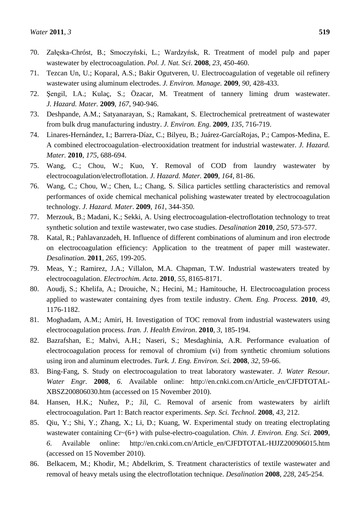- 71. Tezcan Un, U.; Koparal, A.S.; Bakir Ogutveren, U. Electrocoagulation of vegetable oil refinery wastewater using aluminum electrodes. *J. Environ. Manage.* **2009**, *90*, 428-433.
- 72. Şengil, I.A.; Kulaç, S.; Özacar, M. Treatment of tannery liming drum wastewater. *J. Hazard. Mater.* **2009**, *167*, 940-946.
- 73. Deshpande, A.M.; Satyanarayan, S.; Ramakant, S. Electrochemical pretreatment of wastewater from bulk drug manufacturing industry. *J. Environ. Eng.* **2009**, *135*, 716-719.
- 74. Linares-Hernández, I.; Barrera-Díaz, C.; Bilyeu, B.; Juárez-GarcíaRojas, P.; Campos-Medina, E. A combined electrocoagulation–electrooxidation treatment for industrial wastewater. *J. Hazard. Mater.* **2010**, *175*, 688-694.
- 75. Wang, C.; Chou, W.; Kuo, Y. Removal of COD from laundry wastewater by electrocoagulation/electroflotation. *J. Hazard. Mater.* **2009**, *164*, 81-86.
- 76. Wang, C.; Chou, W.; Chen, L.; Chang, S. Silica particles settling characteristics and removal performances of oxide chemical mechanical polishing wastewater treated by electrocoagulation technology. *J. Hazard. Mater*. **2009**, *161*, 344-350.
- 77. Merzouk, B.; Madani, K.; Sekki, A. Using electrocoagulation-electroflotation technology to treat synthetic solution and textile wastewater, two case studies. *Desalination* **2010**, *250*, 573-577.
- 78. Katal, R.; Pahlavanzadeh, H. Influence of different combinations of aluminum and iron electrode on electrocoagulation efficiency: Application to the treatment of paper mill wastewater. *Desalination*. **2011**, *265*, 199-205.
- 79. Meas, Y.; Ramirez, J.A.; Villalon, M.A. Chapman, T.W. Industrial wastewaters treated by electrocoagulation. *Electrochim. Acta*. **2010**, *55*, 8165-8171.
- 80. Aoudj, S.; Khelifa, A.; Drouiche, N.; Hecini, M.; Hamitouche, H. Electrocoagulation process applied to wastewater containing dyes from textile industry. *Chem. Eng. Process.* **2010**, *49*, 1176-1182.
- 81. Moghadam, A.M.; Amiri, H. Investigation of TOC removal from industrial wastewaters using electrocoagulation process. *Iran. J. Health Environ*. **2010**, *3*, 185-194.
- 82. Bazrafshan, E.; Mahvi, A.H.; Naseri, S.; Mesdaghinia, A.R. Performance evaluation of electrocoagulation process for removal of chromium (vi) from synthetic chromium solutions using iron and aluminum electrodes. *Turk. J. Eng. Environ. Sci.* **2008**, *32*, 59-66.
- 83. Bing-Fang, S. Study on electrocoagulation to treat laboratory wastewater. *J. Water Resour. Water Engr.* **2008**, *6*. Available online: http://en.cnki.com.cn/Article\_en/CJFDTOTAL-XBSZ200806030.htm (accessed on 15 November 2010).
- 84. Hansen, H.K.; Nuñez, P.; Jil, C. Removal of arsenic from wastewaters by airlift electrocoagulation. Part 1: Batch reactor experiments. *Sep. Sci. Technol.* **2008**, *43*, 212.
- 85. Qiu, Y.; Shi, Y.; Zhang, X.; Li, D.; Kuang, W. Experimental study on treating electroplating wastewater containing Cr~(6+) with pulse-electro-coagulation. *Chin. J. Environ. Eng. Sci.* **2009**, *6*. Available online: http://en.cnki.com.cn/Article\_en/CJFDTOTAL-HJJZ200906015.htm (accessed on 15 November 2010).
- 86. Belkacem, M.; Khodir, M.; Abdelkrim, S. Treatment characteristics of textile wastewater and removal of heavy metals using the electroflotation technique. *Desalination* **2008**, *228*, 245-254.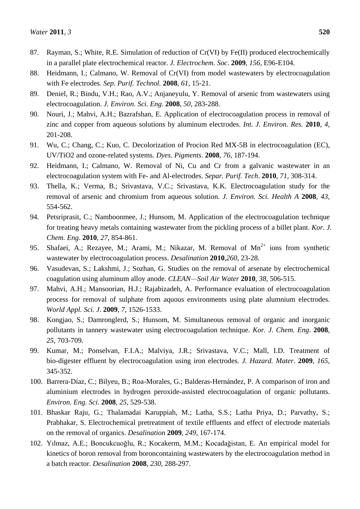- 87. Rayman, S.; White, R.E. Simulation of reduction of Cr(VI) by Fe(II) produced electrochemically in a parallel plate electrochemical reactor. *J. Electrochem. Soc*. **2009**, *156*, E96-E104.
- 88. Heidmann, I.; Calmano, W. Removal of Cr(VI) from model wastewaters by electrocoagulation with Fe electrodes. *Sep. Purif. Technol.* **2008**, *61*, 15-21.
- 89. Deniel, R.; Bindu, V.H.; Rao, A.V.; Anjaneyulu, Y. Removal of arsenic from wastewaters using electrocoagulation. *J. Environ. Sci. Eng*. **2008**, *50*, 283-288.
- 90. Nouri, J.; Mahvi, A.H.; Bazrafshan, E. Application of electrocoagulation process in removal of zinc and copper from aqueous solutions by aluminum electrodes. *Int. J. Environ. Res.* **2010**, *4*, 201-208.
- 91. Wu, C.; Chang, C.; Kuo, C. Decolorization of Procion Red MX-5B in electrocoagulation (EC), UV/TiO2 and ozone-related systems. *Dyes. Pigments*. **2008**, *76*, 187-194.
- 92. Heidmann, I.; Calmano, W. Removal of Ni, Cu and Cr from a galvanic wastewater in an electrocoagulation system with Fe- and Al-electrodes. *Separ. Purif. Tech*. **2010**, *71*, 308-314.
- 93. Thella, K.; Verma, B.; Srivastava, V.C.; Srivastava, K.K. Electrocoagulation study for the removal of arsenic and chromium from aqueous solution. *J. Environ. Sci. Health A* **2008**, *43*, 554-562.
- 94. Petsriprasit, C.; Namboonmee, J.; Hunsom, M. Application of the electrocoagulation technique for treating heavy metals containing wastewater from the pickling process of a billet plant. *Kor. J. Chem. Eng*. **2010**, *27*, 854-861.
- 95. Shafaei, A.; Rezayee, M.; Arami, M.; Nikazar, M. Removal of  $Mn^{2+}$  ions from synthetic wastewater by electrocoagulation process. *Desalination* **2010**,*260*, 23-28.
- 96. Vasudevan, S.; Lakshmi, J.; Sozhan, G. Studies on the removal of arsenate by electrochemical coagulation using aluminum alloy anode. *CLEAN—Soil Air Water* **2010**, *38*, 506-515.
- 97. Mahvi, A.H.; Mansoorian, H.J.; Rajabizadeh, A. Performance evaluation of electrocoagulation process for removal of sulphate from aquous environments using plate alumnium electrodes. *World Appl. Sci. J*. **2009**, *7*, 1526-1533.
- 98. Kongjao, S.; Damronglerd, S.; Hunsom, M. Simultaneous removal of organic and inorganic pollutants in tannery wastewater using electrocoagulation technique. *Kor. J. Chem. Eng*. **2008**, *25*, 703-709.
- 99. Kumar, M.; Ponselvan, F.I.A.; Malviya, J.R.; Srivastava, V.C.; Mall, I.D. Treatment of bio-digester effluent by electrocoagulation using iron electrodes. *J. Hazard. Mater.* **2009**, *165*, 345-352.
- 100. Barrera-Díaz, C.; Bilyeu, B.; Roa-Morales, G.; Balderas-Hernández, P. A comparison of iron and aluminium electrodes in hydrogen peroxide-assisted electrocoagulation of organic pollutants. *Environ. Eng. Sci.* **2008**, *25*, 529-538.
- 101. Bhaskar Raju, G.; Thalamadai Karuppiah, M.; Latha, S.S.; Latha Priya, D.; Parvathy, S.; Prabhakar, S. Electrochemical pretreatment of textile effluents and effect of electrode materials on the removal of organics. *Desalination* **2009**, *249*, 167-174.
- 102. Yılmaz, A.E.; Boncukcuoğlu, R.; Kocakerm, M.M.; Kocadağistan, E. An empirical model for kinetics of boron removal from boroncontaining wastewaters by the electrocoagulation method in a batch reactor. *Desalination* **2008**, *230*, 288-297.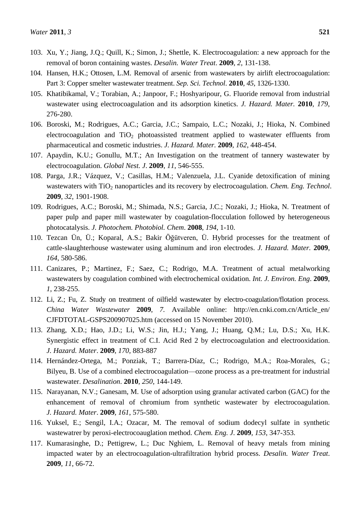- 103. Xu, Y.; Jiang, J.Q.; Quill, K.; Simon, J.; Shettle, K. Electrocoagulation: a new approach for the removal of boron containing wastes. *Desalin. Water Treat*. **2009**, *2*, 131-138.
- 104. Hansen, H.K.; Ottosen, L.M. Removal of arsenic from wastewaters by airlift electrocoagulation: Part 3: Copper smelter wastewater treatment. *Sep. Sci. Technol*. **2010**, *45*, 1326-1330.
- 105. Khatibikamal, V.; Torabian, A.; Janpoor, F.; Hoshyaripour, G. Fluoride removal from industrial wastewater using electrocoagulation and its adsorption kinetics. *J. Hazard. Mater.* **2010**, *179*, 276-280.
- 106. Boroski, M.; Rodrigues, A.C.; Garcia, J.C.; Sampaio, L.C.; Nozaki, J.; Hioka, N. Combined electrocoagulation and  $TiO<sub>2</sub>$  photoassisted treatment applied to wastewater effluents from pharmaceutical and cosmetic industries. *J. Hazard. Mater.* **2009**, *162*, 448-454.
- 107. Apaydin, K.U.; Gonullu, M.T.; An Investigation on the treatment of tannery wastewater by electrocoagulation. *Global Nest. J*. **2009**, *11*, 546-555.
- 108. Parga, J.R.; Vázquez, V.; Casillas, H.M.; Valenzuela, J.L. Cyanide detoxification of mining wastewaters with TiO<sub>2</sub> nanoparticles and its recovery by electrocoagulation. *Chem. Eng. Technol.* **2009**, *32*, 1901-1908.
- 109. Rodrigues, A.C.; Boroski, M.; Shimada, N.S.; Garcia, J.C.; Nozaki, J.; Hioka, N. Treatment of paper pulp and paper mill wastewater by coagulation-flocculation followed by heterogeneous photocatalysis. *J. Photochem. Photobiol. Chem*. **2008**, *194*, 1-10.
- 110. Tezcan Ün, Ü.; Koparal, A.S.; Bakir Öğütveren, Ü. Hybrid processes for the treatment of cattle-slaughterhouse wastewater using aluminum and iron electrodes. *J. Hazard. Mater.* **2009**, *164*, 580-586.
- 111. Canizares, P.; Martinez, F.; Saez, C.; Rodrigo, M.A. Treatment of actual metalworking wastewaters by coagulation combined with electrochemical oxidation. *Int. J. Environ. Eng*. **2009**, *1*, 238-255.
- 112. Li, Z.; Fu, Z. Study on treatment of oilfield wastewater by electro-coagulation/flotation process. *China Water Wastewater* **2009**, *7.* Available online: http://en.cnki.com.cn/Article\_en/ CJFDTOTAL-GSPS200907025.htm (accessed on 15 November 2010).
- 113. Zhang, X.D.; Hao, J.D.; Li, W.S.; Jin, H.J.; Yang, J.; Huang, Q.M.; Lu, D.S.; Xu, H.K. Synergistic effect in treatment of C.I. Acid Red 2 by electrocoagulation and electrooxidation. *J. Hazard. Mater*. **2009**, *170*, 883-887
- 114. Hernández-Ortega, M.; Ponziak, T.; Barrera-Díaz, C.; Rodrigo, M.A.; Roa-Morales, G.; Bilyeu, B. Use of a combined electrocoagulation—ozone process as a pre-treatment for industrial wastewater. *Desalination*. **2010**, *250*, 144-149.
- 115. Narayanan, N.V.; Ganesam, M. Use of adsorption using granular activated carbon (GAC) for the enhancement of removal of chromium from synthetic wastewater by electrocoagulation. *J. Hazard. Mater*. **2009**, *161*, 575-580.
- 116. Yuksel, E.; Sengil, I.A.; Ozacar, M. The removal of sodium dodecyl sulfate in synthetic wastewatrer by peroxi-electrocoauglation method. *Chem. Eng. J*. **2009**, *153*, 347-353.
- 117. Kumarasinghe, D.; Pettigrew, L.; Duc Nghiem, L. Removal of heavy metals from mining impacted water by an electrocoagulation-ultrafiltration hybrid process. *Desalin. Water Treat*. **2009**, *11*, 66-72.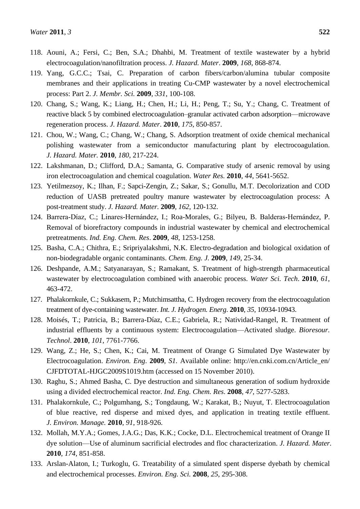- 118. Aouni, A.; Fersi, C.; Ben, S.A.; Dhahbi, M. Treatment of textile wastewater by a hybrid electrocoagulation/nanofiltration process. *J. Hazard. Mater*. **2009**, *168*, 868-874.
- 119. Yang, G.C.C.; Tsai, C. Preparation of carbon fibers/carbon/alumina tubular composite membranes and their applications in treating Cu-CMP wastewater by a novel electrochemical process: Part 2. *J. Membr. Sci.* **2009**, *331*, 100-108.
- 120. Chang, S.; Wang, K.; Liang, H.; Chen, H.; Li, H.; Peng, T.; Su, Y.; Chang, C. Treatment of reactive black 5 by combined electrocoagulation–granular activated carbon adsorption—microwave regeneration process. *J. Hazard. Mater*. **2010**, *175*, 850-857.
- 121. Chou, W.; Wang, C.; Chang, W.; Chang, S. Adsorption treatment of oxide chemical mechanical polishing wastewater from a semiconductor manufacturing plant by electrocoagulation. *J. Hazard. Mater.* **2010**, *180*, 217-224.
- 122. Lakshmanan, D.; Clifford, D.A.; Samanta, G. Comparative study of arsenic removal by using iron electrocoagulation and chemical coagulation. *Water Res.* **2010**, *44*, 5641-5652.
- 123. Yetilmezsoy, K.; Ilhan, F.; Sapci-Zengin, Z.; Sakar, S.; Gonullu, M.T. Decolorization and COD reduction of UASB pretreated poultry manure wastewater by electrocoagulation process: A post-treatment study. *J. Hazard. Mater.* **2009**, *162*, 120-132.
- 124. Barrera-Díaz, C.; Linares-Hernández, I.; Roa-Morales, G.; Bilyeu, B. Balderas-Hernández, P. Removal of biorefractory compounds in industrial wastewater by chemical and electrochemical pretreatments. *Ind. Eng. Chem. Res*. **2009**, *48*, 1253-1258.
- 125. Basha, C.A.; Chithra, E.; Sripriyalakshmi, N.K. Electro-degradation and biological oxidation of non-biodegradable organic contaminants. *Chem. Eng. J.* **2009**, *149*, 25-34.
- 126. Deshpande, A.M.; Satyanarayan, S.; Ramakant, S. Treatment of high-strength pharmaceutical wastewater by electrocoagulation combined with anaerobic process. *Water Sci. Tech*. **2010**, *61*, 463-472.
- 127. Phalakornkule, C.; Sukkasem, P.; Mutchimsattha, C. Hydrogen recovery from the electrocoagulation treatment of dye-containing wastewater. *Int. J. Hydrogen. Energ*. **2010**, *35*, 10934-10943.
- 128. Moisés, T.; Patricia, B.; Barrera-Díaz, C.E.; Gabriela, R.; Natividad-Rangel, R. Treatment of industrial effluents by a continuous system: Electrocoagulation—Activated sludge. *Bioresour. Technol*. **2010**, *101*, 7761-7766.
- 129. Wang, Z.; He, S.; Chen, K.; Cai, M. Treatment of Orange G Simulated Dye Wastewater by Electrocoagulation. *Environ. Eng*. **2009**, *S1.* Available online: http://en.cnki.com.cn/Article\_en/ CJFDTOTAL-HJGC2009S1019.htm (accessed on 15 November 2010).
- 130. Raghu, S.; Ahmed Basha, C. Dye destruction and simultaneous generation of sodium hydroxide using a divided electrochemical reactor. *Ind. Eng. Chem. Res*. **2008**, *47*, 5277-5283.
- 131. Phalakornkule, C.; Polgumhang, S.; Tongdaung, W.; Karakat, B.; Nuyut, T. Electrocoagulation of blue reactive, red disperse and mixed dyes, and application in treating textile effluent. *J. Environ. Manage.* **2010**, *91*, 918-926.
- 132. Mollah, M.Y.A.; Gomes, J.A.G.; Das, K.K.; Cocke, D.L. Electrochemical treatment of Orange II dye solution—Use of aluminum sacrificial electrodes and floc characterization. *J. Hazard. Mater.* **2010**, *174*, 851-858.
- 133. Arslan-Alaton, I.; Turkoglu, G. Treatability of a simulated spent disperse dyebath by chemical and electrochemical processes. *Environ. Eng. Sci.* **2008**, *25*, 295-308.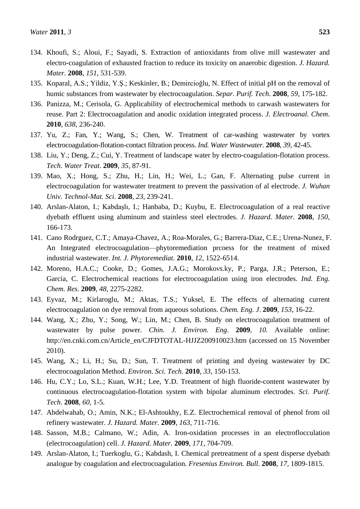- 134. Khoufi, S.; Aloui, F.; Sayadi, S. Extraction of antioxidants from olive mill wastewater and electro-coagulation of exhausted fraction to reduce its toxicity on anaerobic digestion. *J. Hazard. Mater.* **2008**, *151*, 531-539.
- 135. Koparal, A.S.; Yildiz, Y.Ş.; Keskinler, B.; Demircioğlu, N. Effect of initial pH on the removal of humic substances from wastewater by electrocoagulation. *Separ. Purif. Tech*. **2008**, *59*, 175-182.
- 136. Panizza, M.; Cerisola, G. Applicability of electrochemical methods to carwash wastewaters for reuse. Part 2: Electrocoagulation and anodic oxidation integrated process. *J. Electroanal. Chem*. **2010**, *638*, 236-240.
- 137. Yu, Z.; Fan, Y.; Wang, S.; Chen, W. Treatment of car-washing wastewater by vortex electrocoagulation-flotation-contact filtration process. *Ind. Water Wastewater.* **2008**, *39*, 42-45.
- 138. Liu, Y.; Deng, Z.; Cui, Y. Treatment of landscape water by electro-coagulation-flotation process. *Tech. Water Treat*. **2009**, *35*, 87-91.
- 139. Mao, X.; Hong, S.; Zhu, H.; Lin, H.; Wei, L.; Gan, F. Alternating pulse current in electrocoagulation for wastewater treatment to prevent the passivation of al electrode. *J. Wuhan Univ. Technol-Mat. Sci*. **2008**, *23*, 239-241.
- 140. Arslan-Alaton, I.; Kabdaşlı, I.; Hanbaba, D.; Kuybu, E. Electrocoagulation of a real reactive dyebath effluent using aluminum and stainless steel electrodes. *J. Hazard. Mater.* **2008**, *150*, 166-173.
- 141. Cano Rodrguez, C.T.; Amaya-Chavez, A.; Roa-Morales, G.; Barrera-Diaz, C.E.; Urena-Nunez, F. An Integrated electrocoagulation—phytoremediation prcoess for the treatment of mixed industrial wastewater. *Int. J. Phytoremediat*. **2010**, *12*, 1522-6514.
- 142. Moreno, H.A.C.; Cooke, D.; Gomes, J.A.G.; Moroko*vs.*ky, P.; Parga, J.R.; Peterson, E.; Garcia, C. Electrochemical reactions for electrocoagulation using iron electrodes. *Ind. Eng. Chem. Res*. **2009**, *48*, 2275-2282.
- 143. Eyvaz, M.; Kirlaroglu, M.; Aktas, T.S.; Yuksel, E. The effects of alternating current electrocoagulation on dye removal from aqueous solutions. *Chem. Eng. J*. **2009**, *153*, 16-22.
- 144. Wang, X.; Zhu, Y.; Song, W.; Lin, M.; Chen, B. Study on electrocoagulation treatment of wastewater by pulse power. *Chin. J. Environ. Eng*. **2009**, *10.* Available online: http://en.cnki.com.cn/Article\_en/CJFDTOTAL-HJJZ200910023.htm (accessed on 15 November 2010).
- 145. Wang, X.; Li, H.; Su, D.; Sun, T. Treatment of printing and dyeing wastewater by DC electrocoagulation Method. *Environ. Sci. Tech*. **2010**, *33*, 150-153.
- 146. Hu, C.Y.; Lo, S.L.; Kuan, W.H.; Lee, Y.D. Treatment of high fluoride-content wastewater by continuous electrocoagulation-flotation system with bipolar aluminum electrodes. *Sci. Purif. Tech*. **2008**, *60*, 1-5.
- 147. Abdelwahab, O.; Amin, N.K.; El-Ashtoukhy, E.Z. Electrochemical removal of phenol from oil refinery wastewater. *J. Hazard. Mater.* **2009**, *163*, 711-716.
- 148. Sasson, M.B.; Calmano, W.; Adin, A. Iron-oxidation processes in an electroflocculation (electrocoagulation) cell. *J. Hazard. Mater.* **2009**, *171*, 704-709.
- 149. Arslan-Alaton, I.; Tuerkoglu, G.; Kabdash, I. Chemical pretreatment of a spent disperse dyebath analogue by coagulation and electrocoagulation. *Fresenius Environ. Bull.* **2008**, *17*, 1809-1815.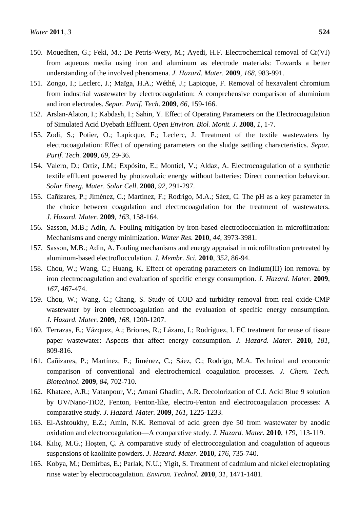- 151. Zongo, I.; Leclerc, J.; Maïga, H.A.; Wéthé, J.; Lapicque, F. Removal of hexavalent chromium from industrial wastewater by electrocoagulation: A comprehensive comparison of aluminium and iron electrodes. *Separ. Purif. Tech*. **2009**, *66*, 159-166.
- 152. Arslan-Alaton, I.; Kabdash, I.; Sahin, Y. Effect of Operating Parameters on the Electrocoagulation of Simulated Acid Dyebath Effluent. *Open Environ. Biol. Monit. J.* **2008**, *1*, 1-7.
- 153. Zodi, S.; Potier, O.; Lapicque, F.; Leclerc, J. Treatment of the textile wastewaters by electrocoagulation: Effect of operating parameters on the sludge settling characteristics. *Separ. Purif. Tech*. **2009**, *69*, 29-36.
- 154. Valero, D.; Ortiz, J.M.; Expósito, E.; Montiel, V.; Aldaz, A. Electrocoagulation of a synthetic textile effluent powered by photovoltaic energy without batteries: Direct connection behaviour. *Solar Energ. Mater. Solar Cell*. **2008**, *92*, 291-297.
- 155. Cañizares, P.; Jiménez, C.; Martínez, F.; Rodrigo, M.A.; Sáez, C. The pH as a key parameter in the choice between coagulation and electrocoagulation for the treatment of wastewaters. *J. Hazard. Mater.* **2009**, *163*, 158-164.
- 156. Sasson, M.B.; Adin, A. Fouling mitigation by iron-based electroflocculation in microfiltration: Mechanisms and energy minimization. *Water Res.* **2010**, *44*, 3973-3981.
- 157. Sasson, M.B.; Adin, A. Fouling mechanisms and energy appraisal in microfiltration pretreated by aluminum-based electroflocculation. *J. Membr. Sci.* **2010**, *352*, 86-94.
- 158. Chou, W.; Wang, C.; Huang, K. Effect of operating parameters on Indium(III) ion removal by iron electrocoagulation and evaluation of specific energy consumption. *J. Hazard. Mater.* **2009**, *167*, 467-474.
- 159. Chou, W.; Wang, C.; Chang, S. Study of COD and turbidity removal from real oxide-CMP wastewater by iron electrocoagulation and the evaluation of specific energy consumption. *J. Hazard. Mater.* **2009**, *168*, 1200-1207.
- 160. Terrazas, E.; Vázquez, A.; Briones, R.; Lázaro, I.; Rodríguez, I. EC treatment for reuse of tissue paper wastewater: Aspects that affect energy consumption. *J. Hazard. Mater.* **2010**, *181*, 809-816.
- 161. Cañizares, P.; Martínez, F.; Jiménez, C.; Sáez, C.; Rodrigo, M.A. Technical and economic comparison of conventional and electrochemical coagulation processes. *J. Chem. Tech. Biotechnol*. **2009**, *84*, 702-710.
- 162. Khataee, A.R.; Vatanpour, V.; Amani Ghadim, A.R. Decolorization of C.I. Acid Blue 9 solution by UV/Nano-TiO2, Fenton, Fenton-like, electro-Fenton and electrocoagulation processes: A comparative study. *J. Hazard. Mater.* **2009**, *161*, 1225-1233.
- 163. El-Ashtoukhy, E.Z.; Amin, N.K. Removal of acid green dye 50 from wastewater by anodic oxidation and electrocoagulation—A comparative study. *J. Hazard. Mater.* **2010**, *179*, 113-119.
- 164. Kılıç, M.G.; Hoşten, Ç. A comparative study of electrocoagulation and coagulation of aqueous suspensions of kaolinite powders. *J. Hazard. Mater.* **2010**, *176*, 735-740.
- 165. Kobya, M.; Demirbas, E.; Parlak, N.U.; Yigit, S. Treatment of cadmium and nickel electroplating rinse water by electrocoagulation. *Environ. Technol.* **2010**, *31*, 1471-1481.